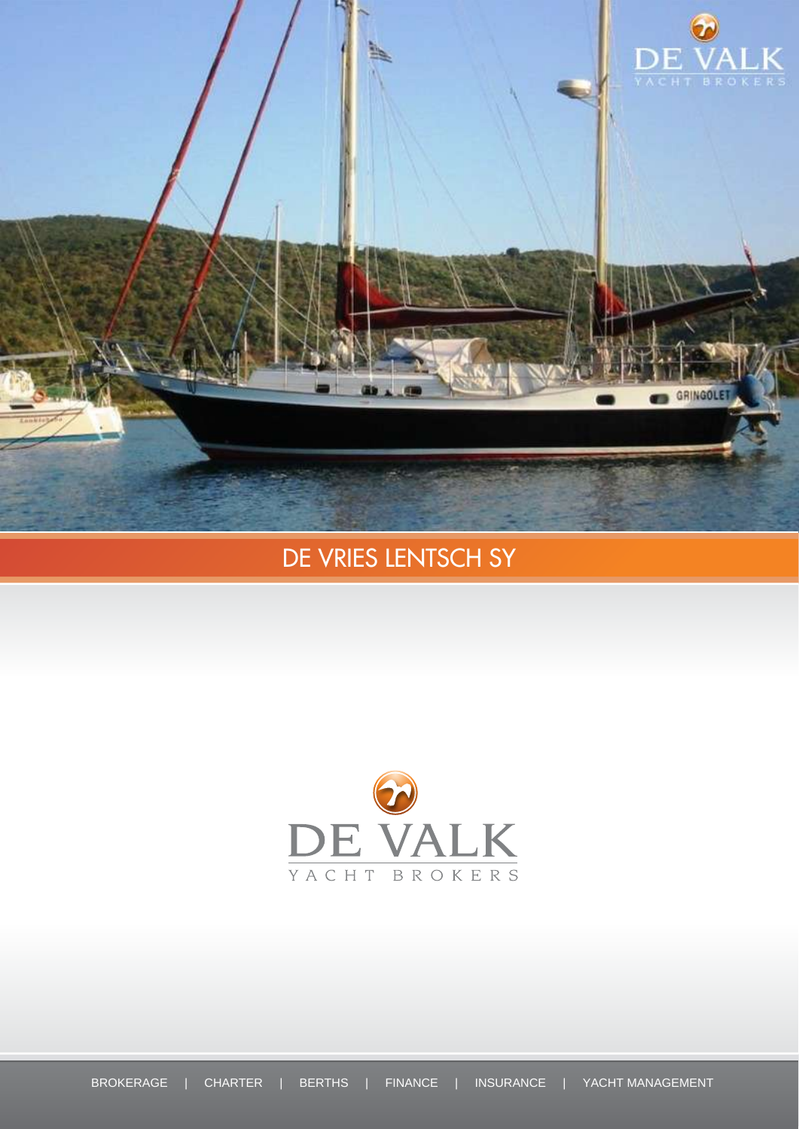

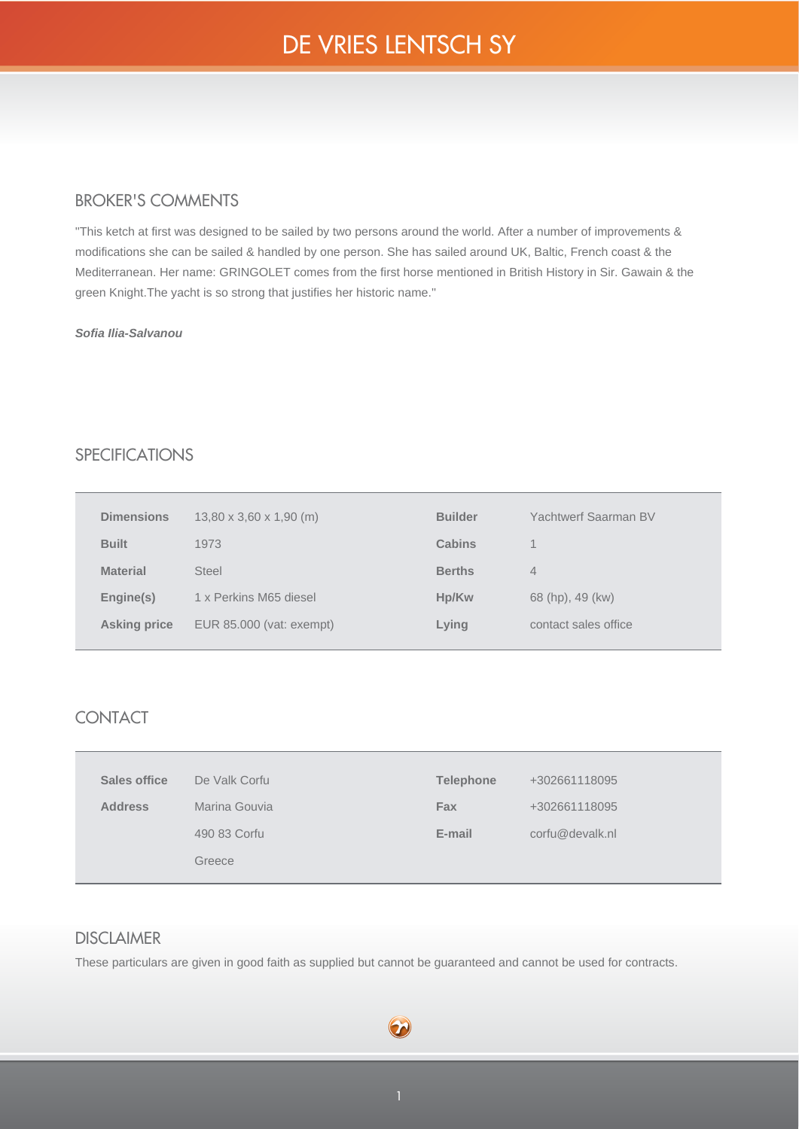#### **BROKER'S COMMENTS**

''This ketch at first was designed to be sailed by two persons around the world. After a number of improvements & modifications she can be sailed & handled by one person. She has sailed around UK, Baltic, French coast & the Mediterranean. Her name: GRINGOLET comes from the first horse mentioned in British History in Sir. Gawain & the green Knight.The yacht is so strong that justifies her historic name.''

#### **Sofia Ilia-Salvanou**

#### **SPECIFICATIONS**

| <b>Dimensions</b>   | $13,80 \times 3,60 \times 1,90 \text{ (m)}$ | <b>Builder</b>     | Yachtwerf Saarman BV |
|---------------------|---------------------------------------------|--------------------|----------------------|
| <b>Built</b>        | 1973                                        | Cabins             | 1.                   |
| <b>Material</b>     | <b>Steel</b>                                | <b>Berths</b>      | 4                    |
| Engine(s)           | 1 x Perkins M65 diesel                      | H <sub>p</sub> /Kw | 68 (hp), 49 (kw)     |
| <b>Asking price</b> | EUR 85.000 (vat: exempt)                    | Lying              | contact sales office |
|                     |                                             |                    |                      |

#### **CONTACT**

| <b>Sales office</b> | De Valk Corfu | <b>Telephone</b> | +302661118095   |
|---------------------|---------------|------------------|-----------------|
| <b>Address</b>      | Marina Gouvia | <b>Fax</b>       | +302661118095   |
|                     | 490 83 Corfu  | E-mail           | corfu@devalk.nl |
|                     | Greece        |                  |                 |

#### **DISCLAIMER**

These particulars are given in good faith as supplied but cannot be guaranteed and cannot be used for contracts.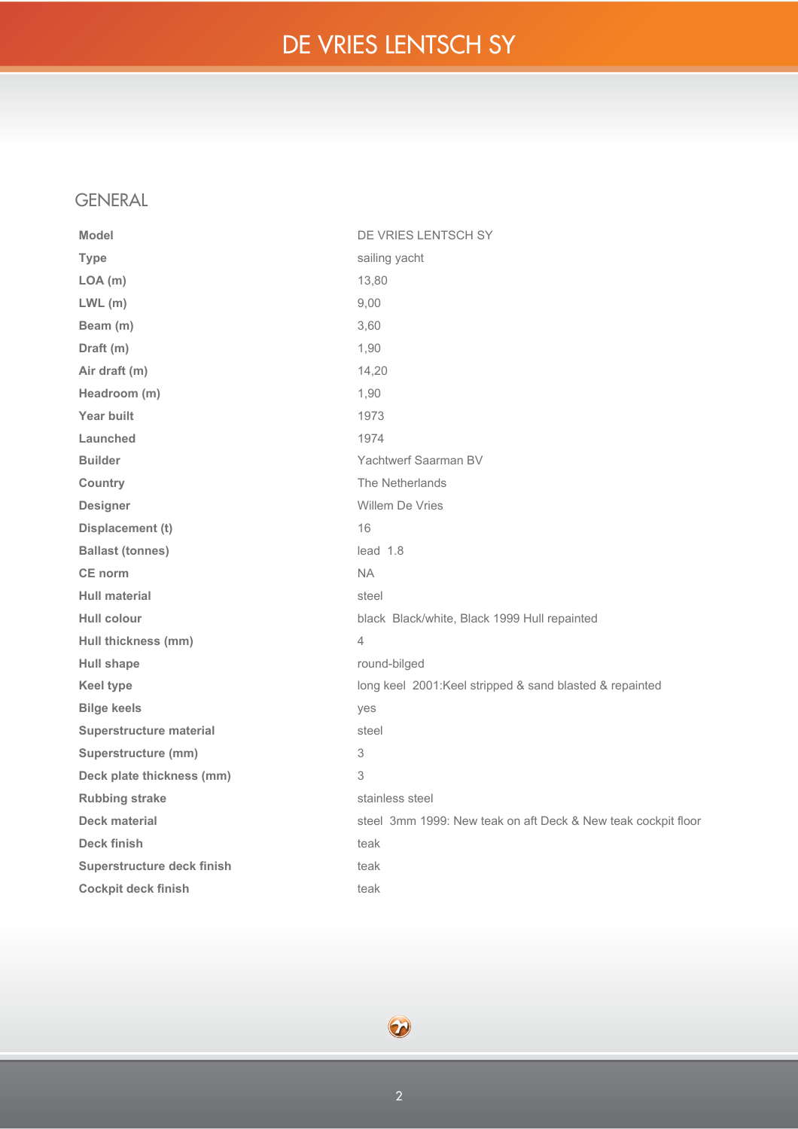### **GENERAL**

| <b>Model</b>                   | DE VRIES LENTSCH SY                                           |
|--------------------------------|---------------------------------------------------------------|
| <b>Type</b>                    | sailing yacht                                                 |
| LOA(m)                         | 13,80                                                         |
| $LWL$ (m)                      | 9,00                                                          |
| Beam (m)                       | 3,60                                                          |
| Draft (m)                      | 1,90                                                          |
| Air draft (m)                  | 14,20                                                         |
| Headroom (m)                   | 1,90                                                          |
| Year built                     | 1973                                                          |
| Launched                       | 1974                                                          |
| <b>Builder</b>                 | Yachtwerf Saarman BV                                          |
| Country                        | The Netherlands                                               |
| <b>Designer</b>                | Willem De Vries                                               |
| Displacement (t)               | 16                                                            |
| <b>Ballast (tonnes)</b>        | $lead$ 1.8                                                    |
| <b>CE</b> norm                 | <b>NA</b>                                                     |
| <b>Hull material</b>           | steel                                                         |
| <b>Hull colour</b>             | black Black/white, Black 1999 Hull repainted                  |
| Hull thickness (mm)            | 4                                                             |
| <b>Hull shape</b>              | round-bilged                                                  |
| <b>Keel type</b>               | long keel 2001:Keel stripped & sand blasted & repainted       |
| <b>Bilge keels</b>             | yes                                                           |
| <b>Superstructure material</b> | steel                                                         |
| Superstructure (mm)            | 3                                                             |
| Deck plate thickness (mm)      | 3                                                             |
| <b>Rubbing strake</b>          | stainless steel                                               |
| Deck material                  | steel 3mm 1999: New teak on aft Deck & New teak cockpit floor |
| Deck finish                    | teak                                                          |
| Superstructure deck finish     | teak                                                          |
| <b>Cockpit deck finish</b>     | teak                                                          |

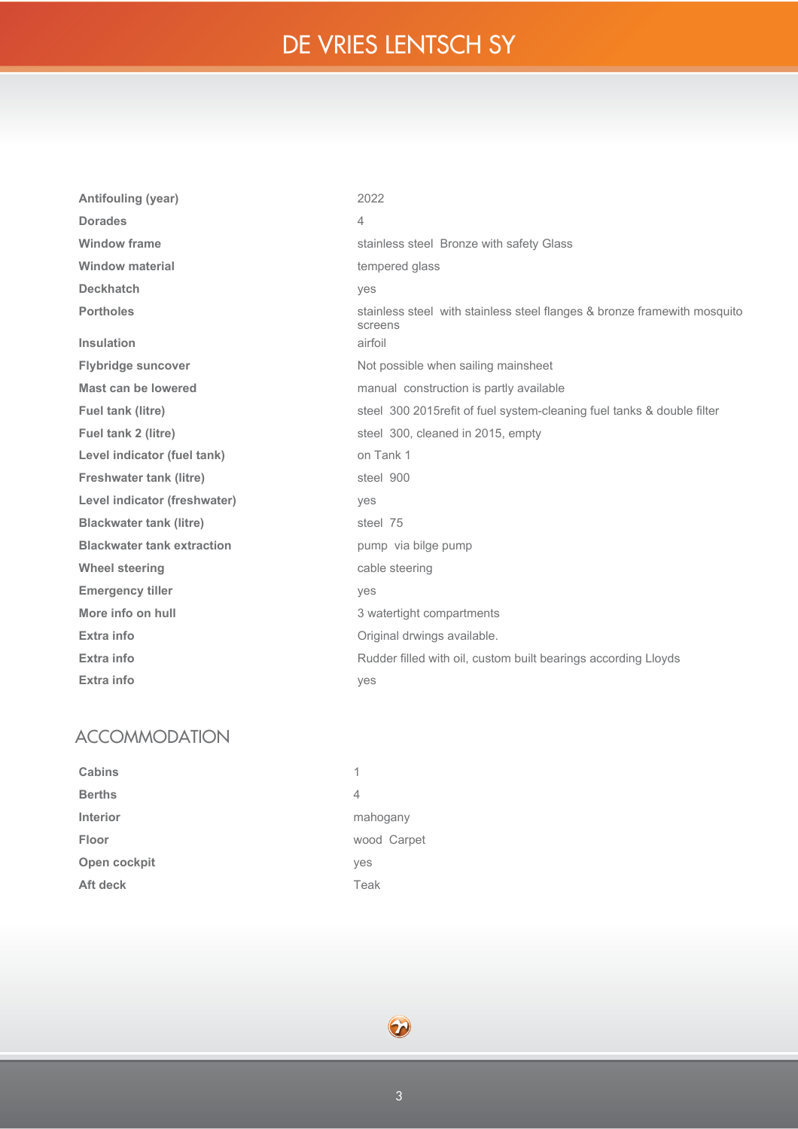| <b>Antifouling (year)</b>         | 2022                                                                                |
|-----------------------------------|-------------------------------------------------------------------------------------|
| <b>Dorades</b>                    | 4                                                                                   |
| <b>Window frame</b>               | stainless steel Bronze with safety Glass                                            |
| <b>Window material</b>            | tempered glass                                                                      |
| <b>Deckhatch</b>                  | yes                                                                                 |
| <b>Portholes</b>                  | stainless steel with stainless steel flanges & bronze framewith mosquito<br>screens |
| <b>Insulation</b>                 | airfoil                                                                             |
| <b>Flybridge suncover</b>         | Not possible when sailing mainsheet                                                 |
| Mast can be lowered               | manual construction is partly available                                             |
| Fuel tank (litre)                 | steel 300 2015 refit of fuel system-cleaning fuel tanks & double filter             |
| Fuel tank 2 (litre)               | steel 300, cleaned in 2015, empty                                                   |
| Level indicator (fuel tank)       | on Tank 1                                                                           |
| <b>Freshwater tank (litre)</b>    | steel 900                                                                           |
| Level indicator (freshwater)      | yes                                                                                 |
| <b>Blackwater tank (litre)</b>    | steel 75                                                                            |
| <b>Blackwater tank extraction</b> | pump via bilge pump                                                                 |
| <b>Wheel steering</b>             | cable steering                                                                      |
| <b>Emergency tiller</b>           | yes                                                                                 |
| More info on hull                 | 3 watertight compartments                                                           |
| Extra info                        | Original drwings available.                                                         |
| Extra info                        | Rudder filled with oil, custom built bearings according Lloyds                      |
| <b>Extra info</b>                 | yes                                                                                 |

### **ACCOMMODATION**

| Cabins          | 1           |
|-----------------|-------------|
| <b>Berths</b>   | 4           |
| <b>Interior</b> | mahogany    |
| Floor           | wood Carpet |
| Open cockpit    | yes         |
| Aft deck        | Teak        |
|                 |             |

 $\bigodot$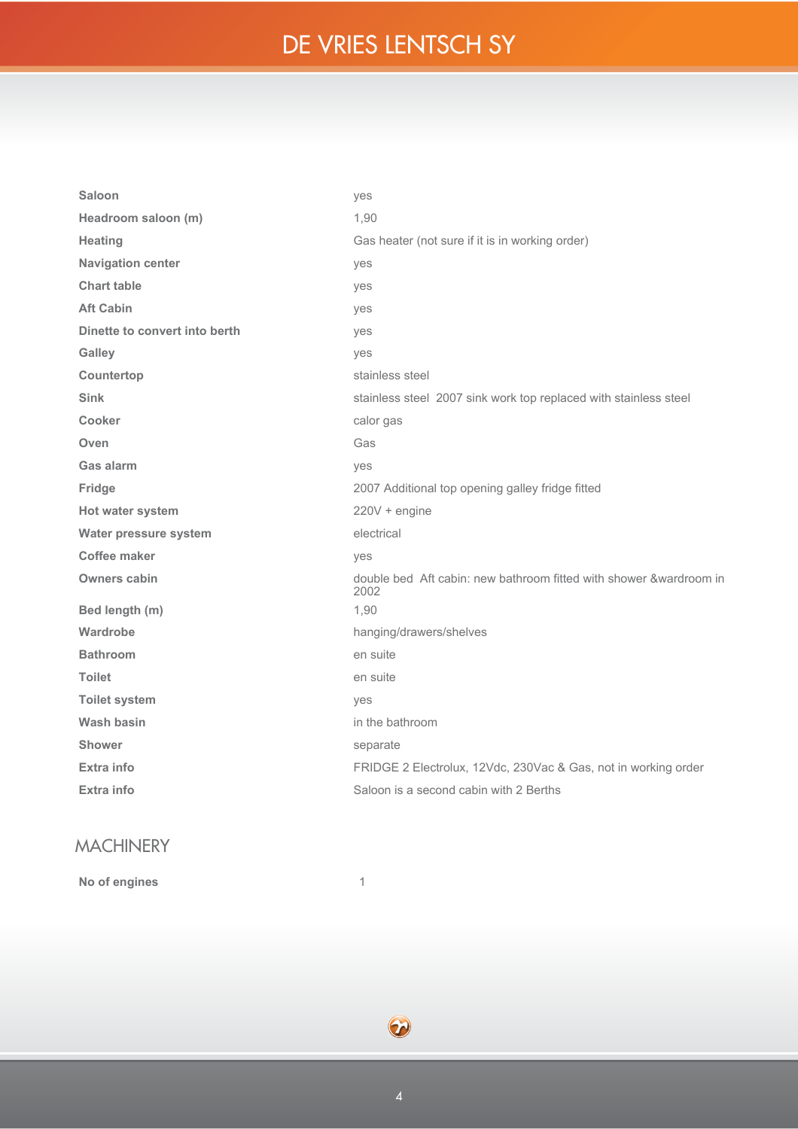| Saloon                        | yes                                                                        |
|-------------------------------|----------------------------------------------------------------------------|
| Headroom saloon (m)           | 1,90                                                                       |
| <b>Heating</b>                | Gas heater (not sure if it is in working order)                            |
| <b>Navigation center</b>      | yes                                                                        |
| <b>Chart table</b>            | yes                                                                        |
| <b>Aft Cabin</b>              | yes                                                                        |
| Dinette to convert into berth | yes                                                                        |
| <b>Galley</b>                 | yes                                                                        |
| Countertop                    | stainless steel                                                            |
| <b>Sink</b>                   | stainless steel 2007 sink work top replaced with stainless steel           |
| Cooker                        | calor gas                                                                  |
| Oven                          | Gas                                                                        |
| <b>Gas alarm</b>              | yes                                                                        |
| <b>Fridge</b>                 | 2007 Additional top opening galley fridge fitted                           |
| Hot water system              | $220V + engine$                                                            |
| Water pressure system         | electrical                                                                 |
| Coffee maker                  | yes                                                                        |
| <b>Owners cabin</b>           | double bed Aft cabin: new bathroom fitted with shower &wardroom in<br>2002 |
| Bed length (m)                | 1,90                                                                       |
| Wardrobe                      | hanging/drawers/shelves                                                    |
| <b>Bathroom</b>               | en suite                                                                   |
| <b>Toilet</b>                 | en suite                                                                   |
| <b>Toilet system</b>          | yes                                                                        |
| Wash basin                    | in the bathroom                                                            |
| <b>Shower</b>                 | separate                                                                   |
| Extra info                    | FRIDGE 2 Electrolux, 12Vdc, 230Vac & Gas, not in working order             |
| Extra info                    | Saloon is a second cabin with 2 Berths                                     |

### **MACHINERY**

**No of engines 1**

 $\odot$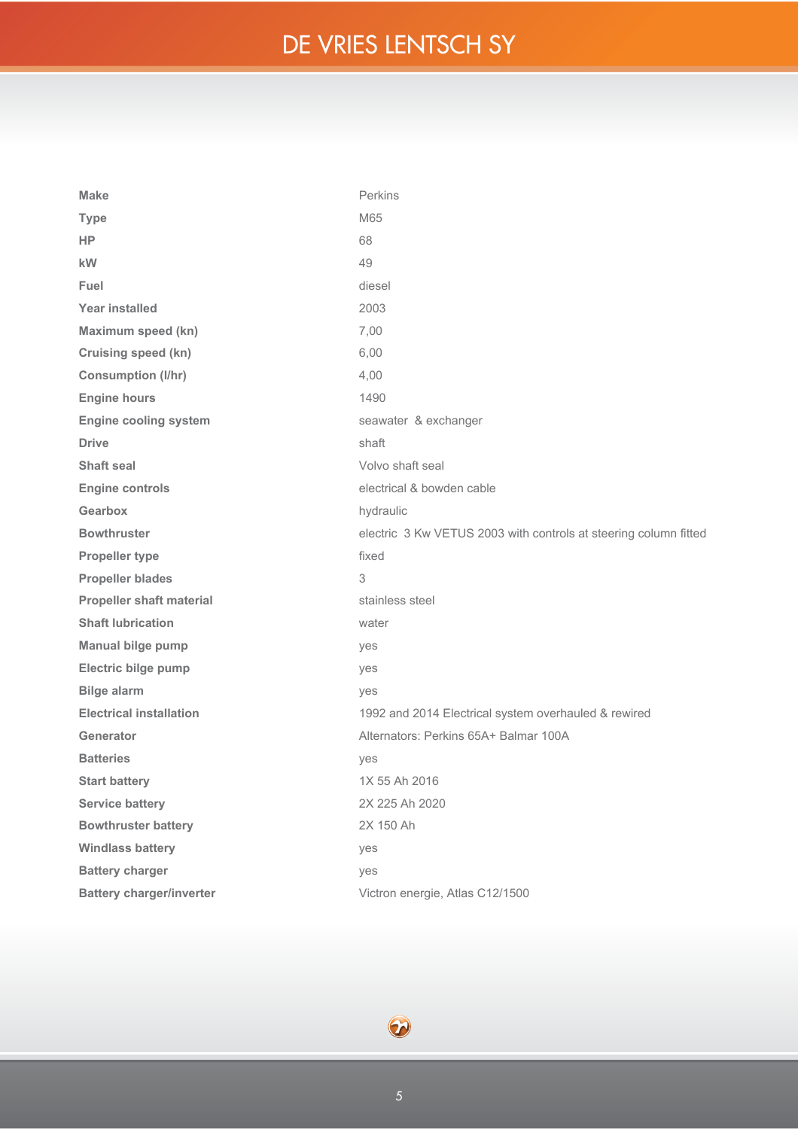| <b>Make</b>                     | Perkins                                                          |
|---------------------------------|------------------------------------------------------------------|
| <b>Type</b>                     | M65                                                              |
| <b>HP</b>                       | 68                                                               |
| <b>kW</b>                       | 49                                                               |
| Fuel                            | diesel                                                           |
| Year installed                  | 2003                                                             |
| Maximum speed (kn)              | 7,00                                                             |
| <b>Cruising speed (kn)</b>      | 6,00                                                             |
| Consumption (I/hr)              | 4,00                                                             |
| <b>Engine hours</b>             | 1490                                                             |
| <b>Engine cooling system</b>    | seawater & exchanger                                             |
| <b>Drive</b>                    | shaft                                                            |
| <b>Shaft seal</b>               | Volvo shaft seal                                                 |
| <b>Engine controls</b>          | electrical & bowden cable                                        |
| Gearbox                         | hydraulic                                                        |
| <b>Bowthruster</b>              | electric 3 Kw VETUS 2003 with controls at steering column fitted |
| <b>Propeller type</b>           | fixed                                                            |
| <b>Propeller blades</b>         | 3                                                                |
| <b>Propeller shaft material</b> | stainless steel                                                  |
| <b>Shaft lubrication</b>        | water                                                            |
| <b>Manual bilge pump</b>        | yes                                                              |
| <b>Electric bilge pump</b>      | yes                                                              |
| <b>Bilge alarm</b>              | yes                                                              |
| <b>Electrical installation</b>  | 1992 and 2014 Electrical system overhauled & rewired             |
| Generator                       | Alternators: Perkins 65A+ Balmar 100A                            |
| <b>Batteries</b>                | yes                                                              |
| <b>Start battery</b>            | 1X 55 Ah 2016                                                    |
| <b>Service battery</b>          | 2X 225 Ah 2020                                                   |
| <b>Bowthruster battery</b>      | 2X 150 Ah                                                        |
| <b>Windlass battery</b>         | yes                                                              |
| <b>Battery charger</b>          | yes                                                              |
| <b>Battery charger/inverter</b> | Victron energie, Atlas C12/1500                                  |

 $\bullet$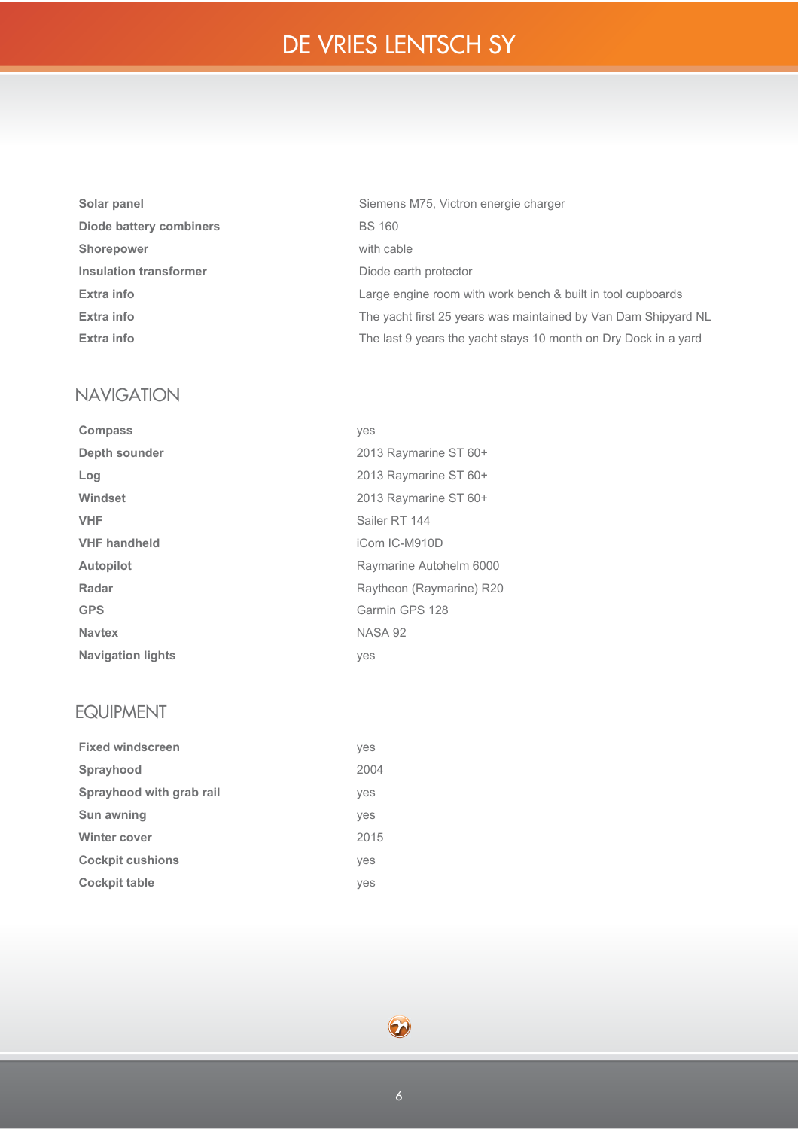| Solar panel                   | Siemens M75, Victron energie charger                            |
|-------------------------------|-----------------------------------------------------------------|
| Diode battery combiners       | <b>BS 160</b>                                                   |
| Shorepower                    | with cable                                                      |
| <b>Insulation transformer</b> | Diode earth protector                                           |
| Extra info                    | Large engine room with work bench & built in tool cupboards     |
| Extra info                    | The yacht first 25 years was maintained by Van Dam Shipyard NL  |
| Extra info                    | The last 9 years the yacht stays 10 month on Dry Dock in a yard |

### **NAVIGATION**

| <b>Compass</b>           | yes                      |
|--------------------------|--------------------------|
| Depth sounder            | 2013 Raymarine ST 60+    |
| Log                      | 2013 Raymarine ST 60+    |
| Windset                  | 2013 Raymarine ST 60+    |
| <b>VHF</b>               | Sailer RT 144            |
| <b>VHF</b> handheld      | iCom IC-M910D            |
| <b>Autopilot</b>         | Raymarine Autohelm 6000  |
| Radar                    | Raytheon (Raymarine) R20 |
| <b>GPS</b>               | Garmin GPS 128           |
| <b>Navtex</b>            | NASA 92                  |
| <b>Navigation lights</b> | yes                      |

### **EQUIPMENT**

| <b>Fixed windscreen</b>  | ves  |
|--------------------------|------|
| Sprayhood                | 2004 |
| Sprayhood with grab rail | yes  |
| Sun awning               | yes  |
| <b>Winter cover</b>      | 2015 |
| <b>Cockpit cushions</b>  | yes  |
| <b>Cockpit table</b>     | yes  |

 $\odot$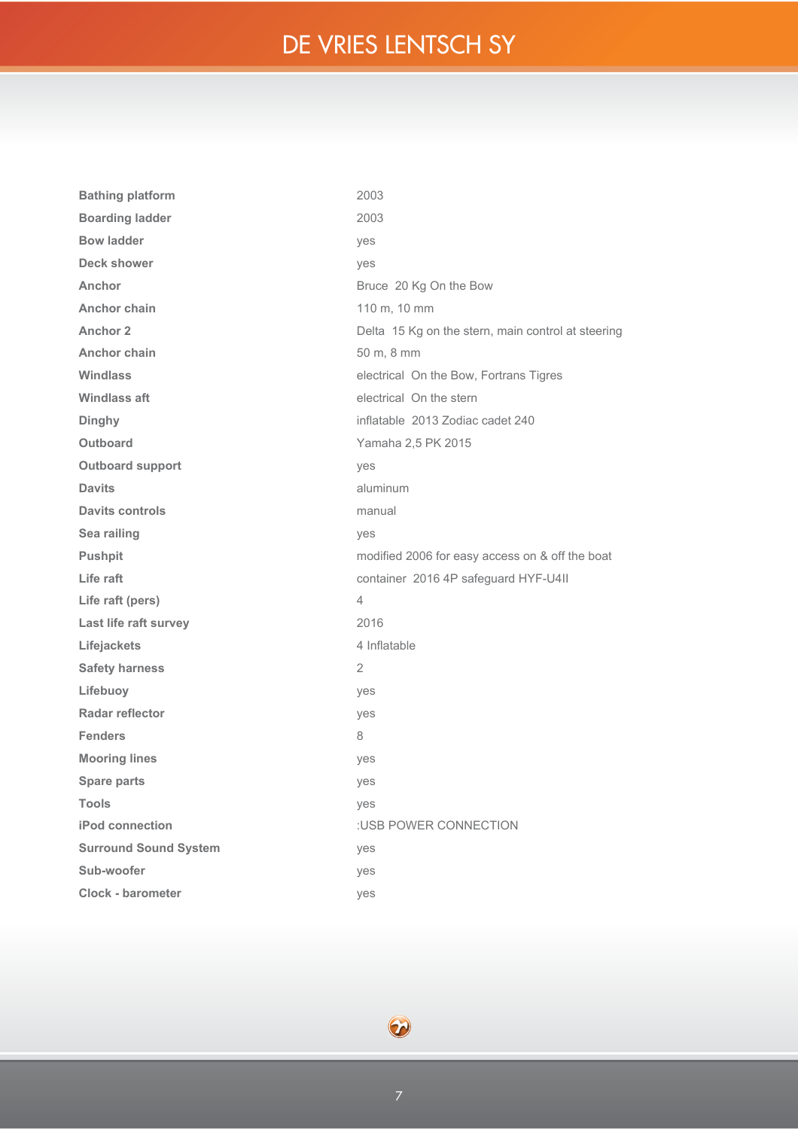| <b>Bathing platform</b>      | 2003                                               |
|------------------------------|----------------------------------------------------|
| <b>Boarding ladder</b>       | 2003                                               |
| <b>Bow ladder</b>            | yes                                                |
| Deck shower                  | yes                                                |
| Anchor                       | Bruce 20 Kg On the Bow                             |
| Anchor chain                 | 110 m, 10 mm                                       |
| Anchor 2                     | Delta 15 Kg on the stern, main control at steering |
| Anchor chain                 | 50 m, 8 mm                                         |
| <b>Windlass</b>              | electrical On the Bow, Fortrans Tigres             |
| Windlass aft                 | electrical On the stern                            |
| <b>Dinghy</b>                | inflatable 2013 Zodiac cadet 240                   |
| <b>Outboard</b>              | Yamaha 2,5 PK 2015                                 |
| <b>Outboard support</b>      | yes                                                |
| <b>Davits</b>                | aluminum                                           |
| <b>Davits controls</b>       | manual                                             |
| Sea railing                  | yes                                                |
| <b>Pushpit</b>               | modified 2006 for easy access on & off the boat    |
| Life raft                    | container 2016 4P safeguard HYF-U4II               |
| Life raft (pers)             | 4                                                  |
| Last life raft survey        | 2016                                               |
| Lifejackets                  | 4 Inflatable                                       |
| <b>Safety harness</b>        | 2                                                  |
| Lifebuoy                     | yes                                                |
| <b>Radar reflector</b>       | yes                                                |
| <b>Fenders</b>               | 8                                                  |
| <b>Mooring lines</b>         | yes                                                |
| <b>Spare parts</b>           | yes                                                |
| <b>Tools</b>                 | yes                                                |
| <b>iPod connection</b>       | :USB POWER CONNECTION                              |
| <b>Surround Sound System</b> | yes                                                |
| Sub-woofer                   | yes                                                |
| <b>Clock - barometer</b>     | yes                                                |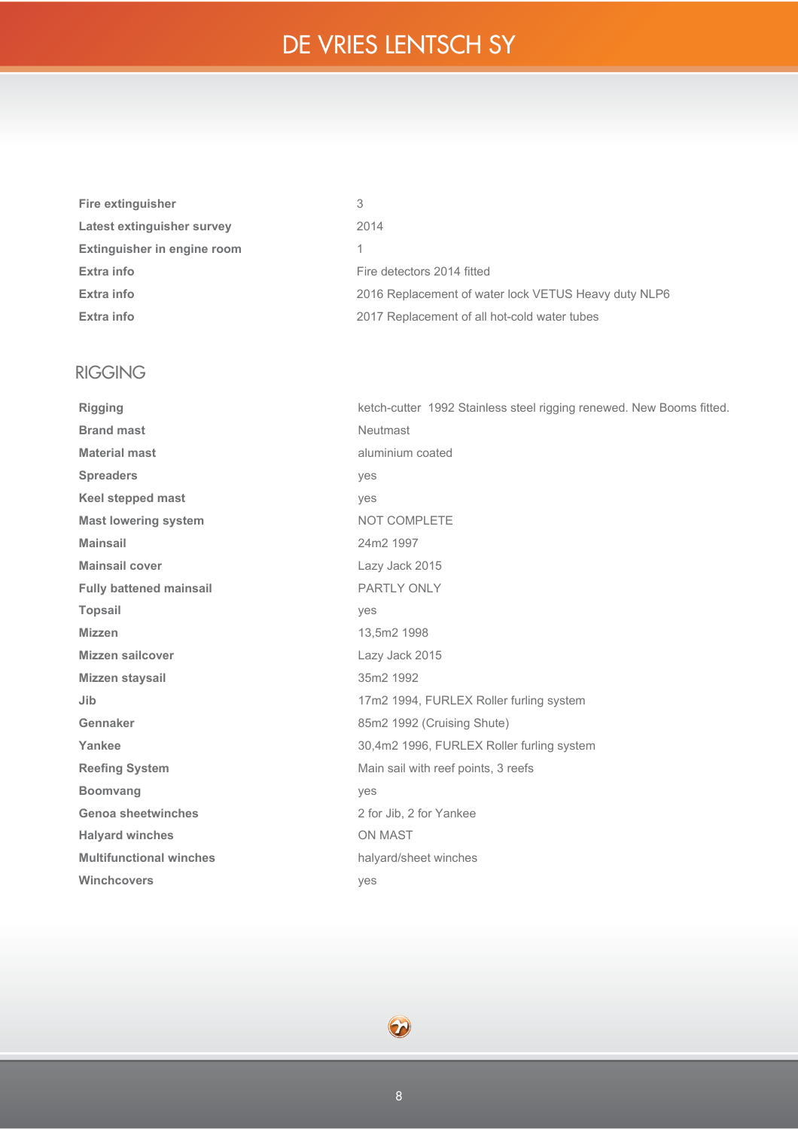| <b>Fire extinguisher</b>    | З                                                    |
|-----------------------------|------------------------------------------------------|
| Latest extinguisher survey  | 2014                                                 |
| Extinguisher in engine room |                                                      |
| Extra info                  | Fire detectors 2014 fitted                           |
| Extra info                  | 2016 Replacement of water lock VETUS Heavy duty NLP6 |
| Extra info                  | 2017 Replacement of all hot-cold water tubes         |

#### **RIGGING**

| <b>Rigging</b>                 | ketch-cutter 1992 Stainless steel rigging renewed. New Booms fitted. |
|--------------------------------|----------------------------------------------------------------------|
| <b>Brand mast</b>              | <b>Neutmast</b>                                                      |
| <b>Material mast</b>           | aluminium coated                                                     |
| <b>Spreaders</b>               | yes                                                                  |
| Keel stepped mast              | ves                                                                  |
| <b>Mast lowering system</b>    | NOT COMPLETE                                                         |
| <b>Mainsail</b>                | 24m2 1997                                                            |
| <b>Mainsail cover</b>          | Lazy Jack 2015                                                       |
| <b>Fully battened mainsail</b> | PARTLY ONLY                                                          |
| <b>Topsail</b>                 | yes                                                                  |
| <b>Mizzen</b>                  | 13,5m2 1998                                                          |
| <b>Mizzen sailcover</b>        | Lazy Jack 2015                                                       |
| Mizzen staysail                | 35m2 1992                                                            |
| Jib                            | 17m2 1994, FURLEX Roller furling system                              |
| Gennaker                       | 85m2 1992 (Cruising Shute)                                           |
| Yankee                         | 30,4m2 1996, FURLEX Roller furling system                            |
| <b>Reefing System</b>          | Main sail with reef points, 3 reefs                                  |
| <b>Boomvang</b>                | yes                                                                  |
| <b>Genoa sheetwinches</b>      | 2 for Jib, 2 for Yankee                                              |
| <b>Halyard winches</b>         | <b>ON MAST</b>                                                       |
| <b>Multifunctional winches</b> | halyard/sheet winches                                                |
| <b>Winchcovers</b>             | yes                                                                  |
|                                |                                                                      |

 $\odot$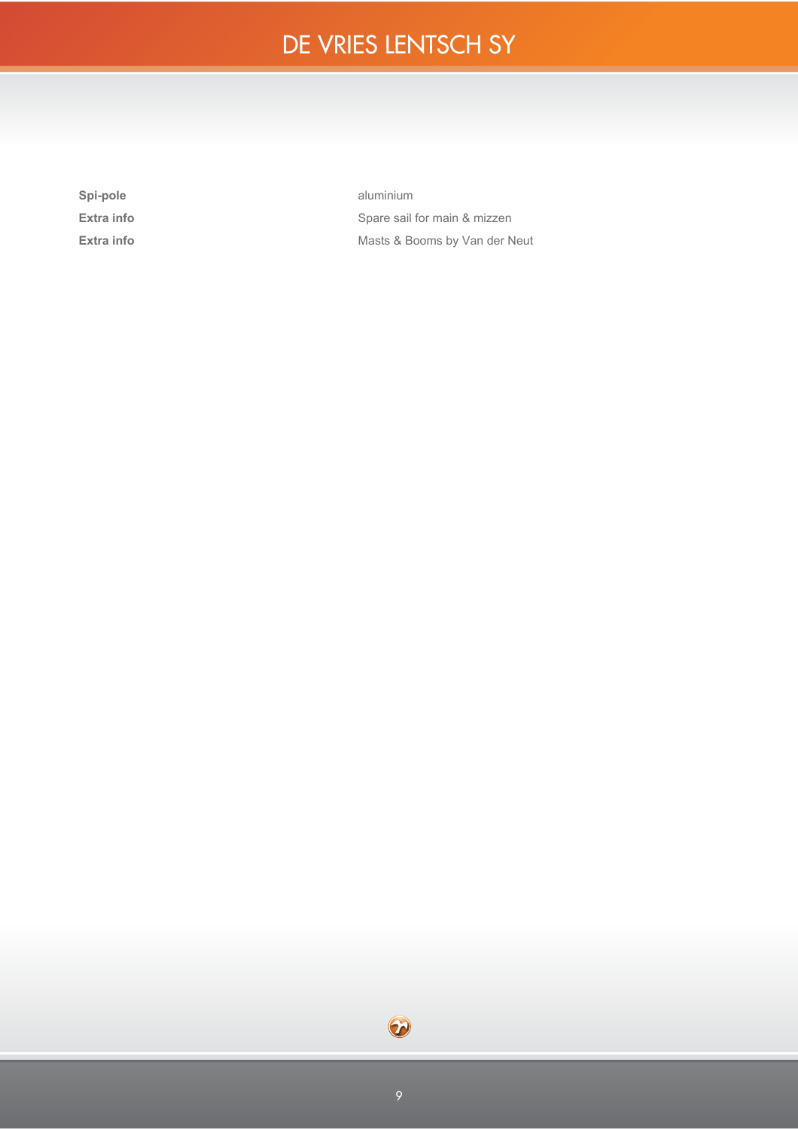**Spi-pole aluminium Extra info Spare sail for main & mizzen Extra info Masts & Booms by Van der Neut**

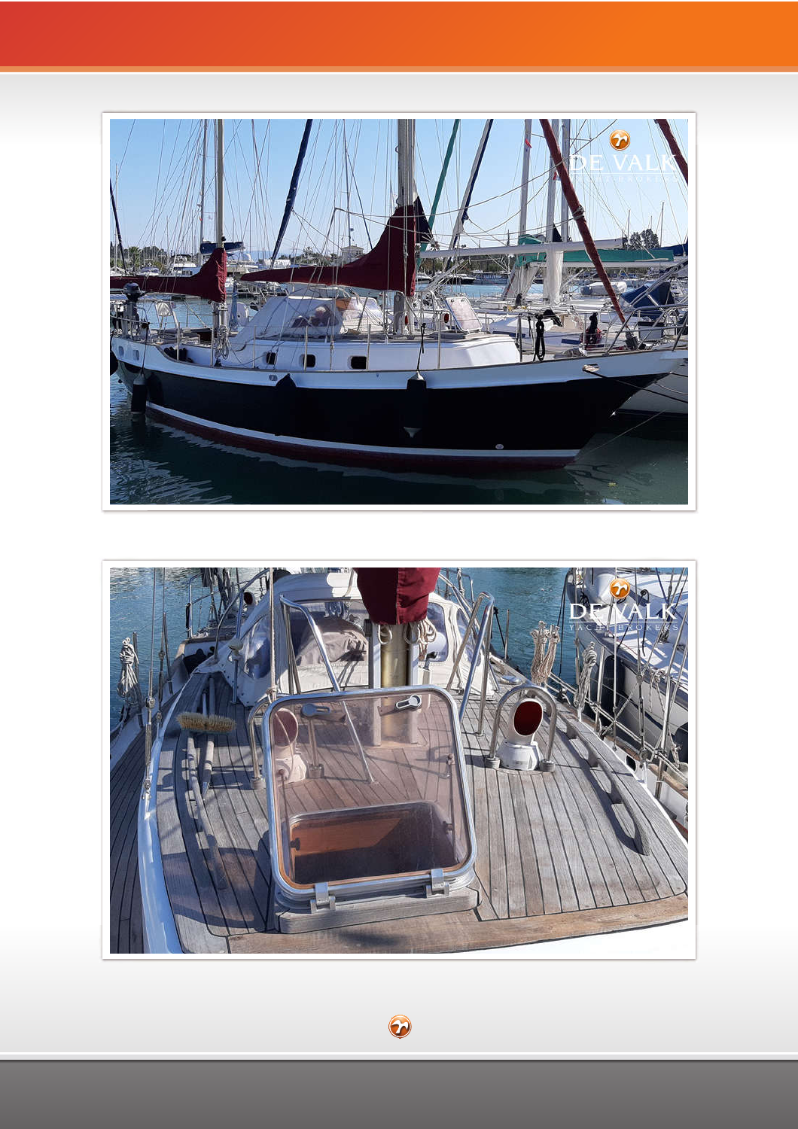# $'(95,(6)/(1768+6<$



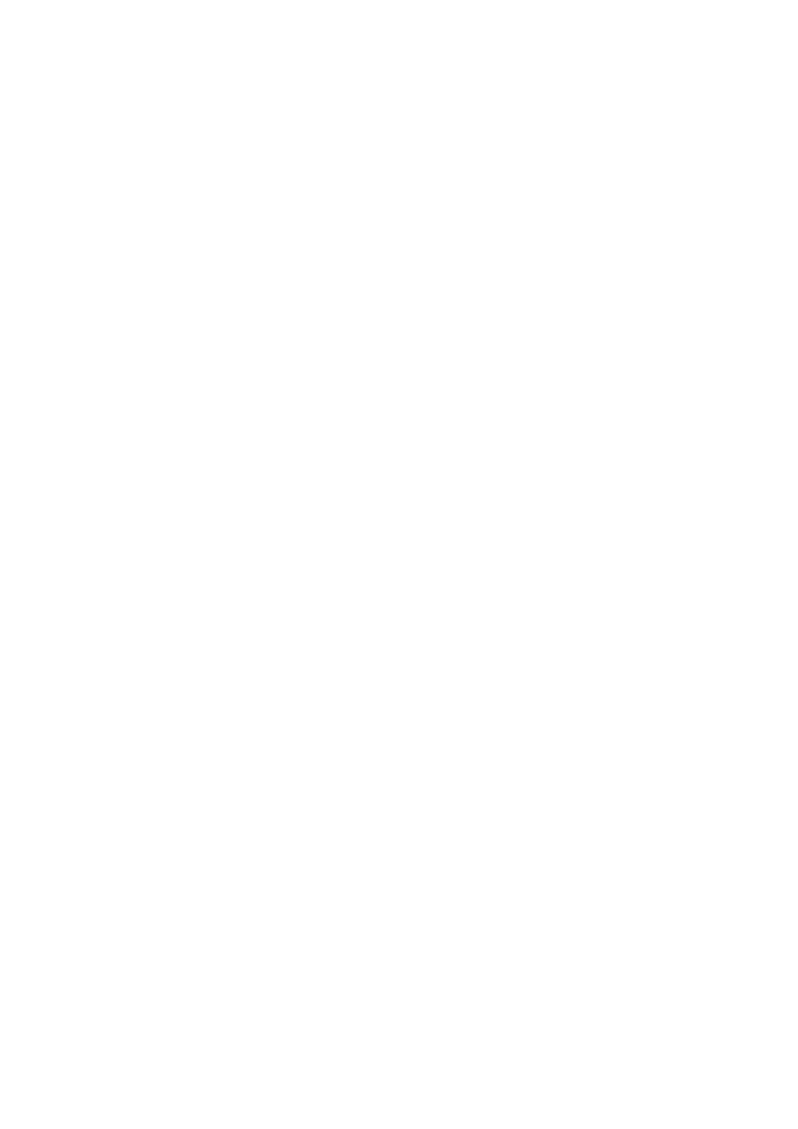| ---- |  |
|------|--|
|      |  |
|      |  |
|      |  |
|      |  |
|      |  |
|      |  |
|      |  |
|      |  |
|      |  |
|      |  |
|      |  |
|      |  |
|      |  |
|      |  |
|      |  |
|      |  |
|      |  |
|      |  |
|      |  |
|      |  |
|      |  |
|      |  |
|      |  |
|      |  |
|      |  |
|      |  |
|      |  |
|      |  |
|      |  |
|      |  |
|      |  |
|      |  |
|      |  |
|      |  |
|      |  |
|      |  |
|      |  |
|      |  |
|      |  |
|      |  |
|      |  |
|      |  |
|      |  |
|      |  |
|      |  |
|      |  |
|      |  |
|      |  |
|      |  |
|      |  |
|      |  |
|      |  |
|      |  |
|      |  |
|      |  |
|      |  |
|      |  |
|      |  |

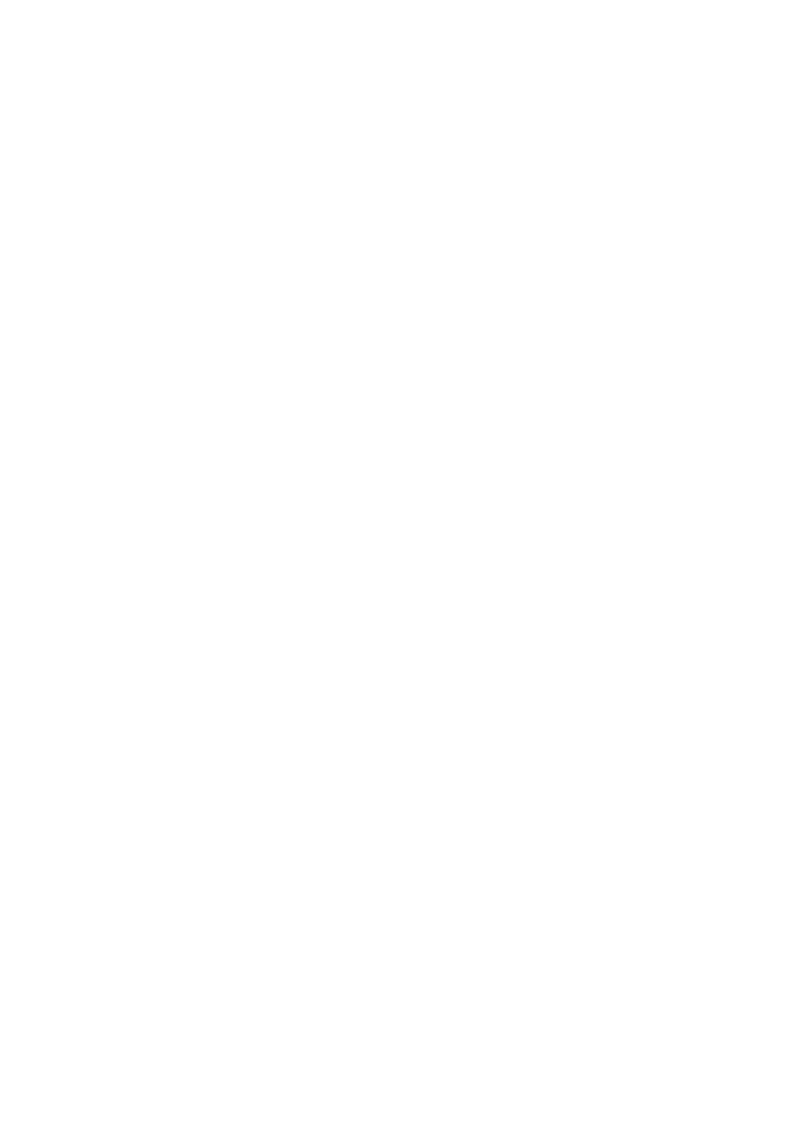| ---- |  |
|------|--|
|      |  |
|      |  |
|      |  |
|      |  |
|      |  |
|      |  |
|      |  |
|      |  |
|      |  |
|      |  |
|      |  |
|      |  |
|      |  |
|      |  |
|      |  |
|      |  |
|      |  |
|      |  |
|      |  |
|      |  |
|      |  |
|      |  |
|      |  |
|      |  |
|      |  |
|      |  |
|      |  |
|      |  |
|      |  |
|      |  |
|      |  |
|      |  |
|      |  |
|      |  |
|      |  |
|      |  |
|      |  |
|      |  |
|      |  |
|      |  |
|      |  |
|      |  |
|      |  |
|      |  |
|      |  |
|      |  |
|      |  |
|      |  |
|      |  |
|      |  |
|      |  |
|      |  |
|      |  |
|      |  |
|      |  |
|      |  |
|      |  |
|      |  |

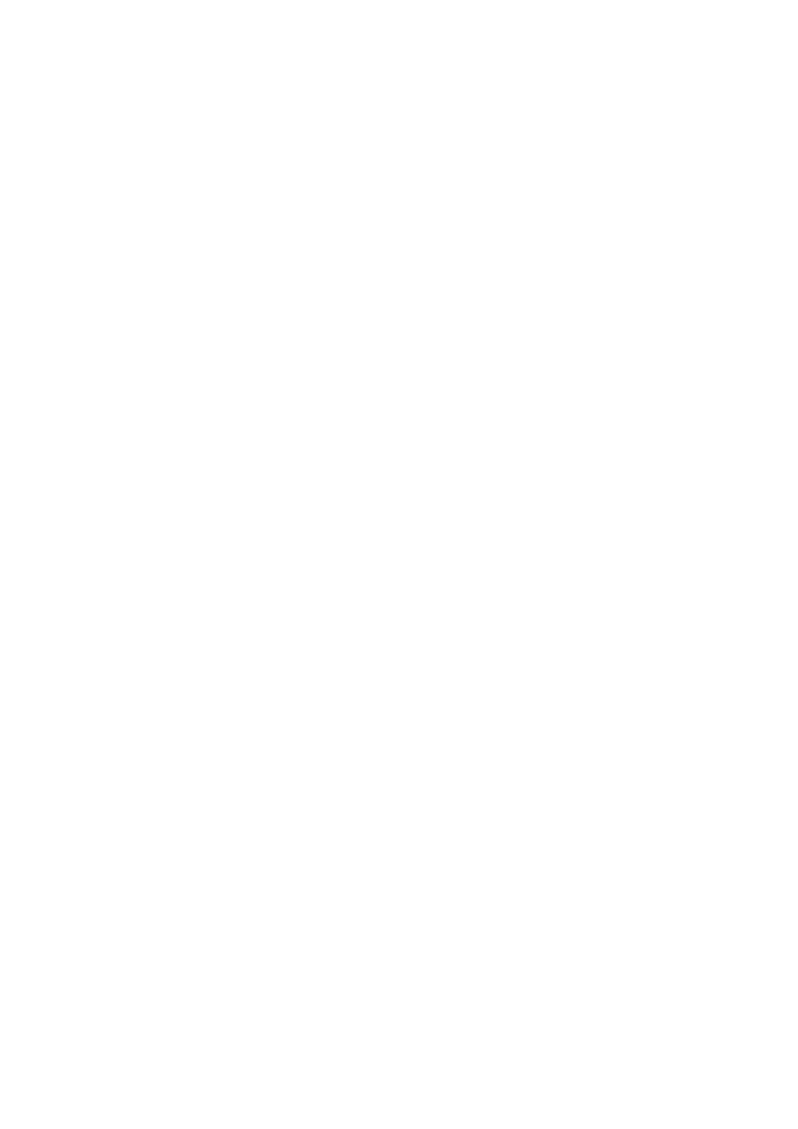| ---- |  |
|------|--|
|      |  |
|      |  |
|      |  |
|      |  |
|      |  |
|      |  |
|      |  |
|      |  |
|      |  |
|      |  |
|      |  |
|      |  |
|      |  |
|      |  |
|      |  |
|      |  |
|      |  |
|      |  |
|      |  |
|      |  |
|      |  |
|      |  |
|      |  |
|      |  |
|      |  |
|      |  |
|      |  |
|      |  |
|      |  |
|      |  |
|      |  |
|      |  |
|      |  |
|      |  |
|      |  |
|      |  |
|      |  |
|      |  |
|      |  |
|      |  |
|      |  |
|      |  |
|      |  |
|      |  |
|      |  |
|      |  |
|      |  |
|      |  |
|      |  |
|      |  |
|      |  |
|      |  |
|      |  |
|      |  |
|      |  |
|      |  |
|      |  |
|      |  |

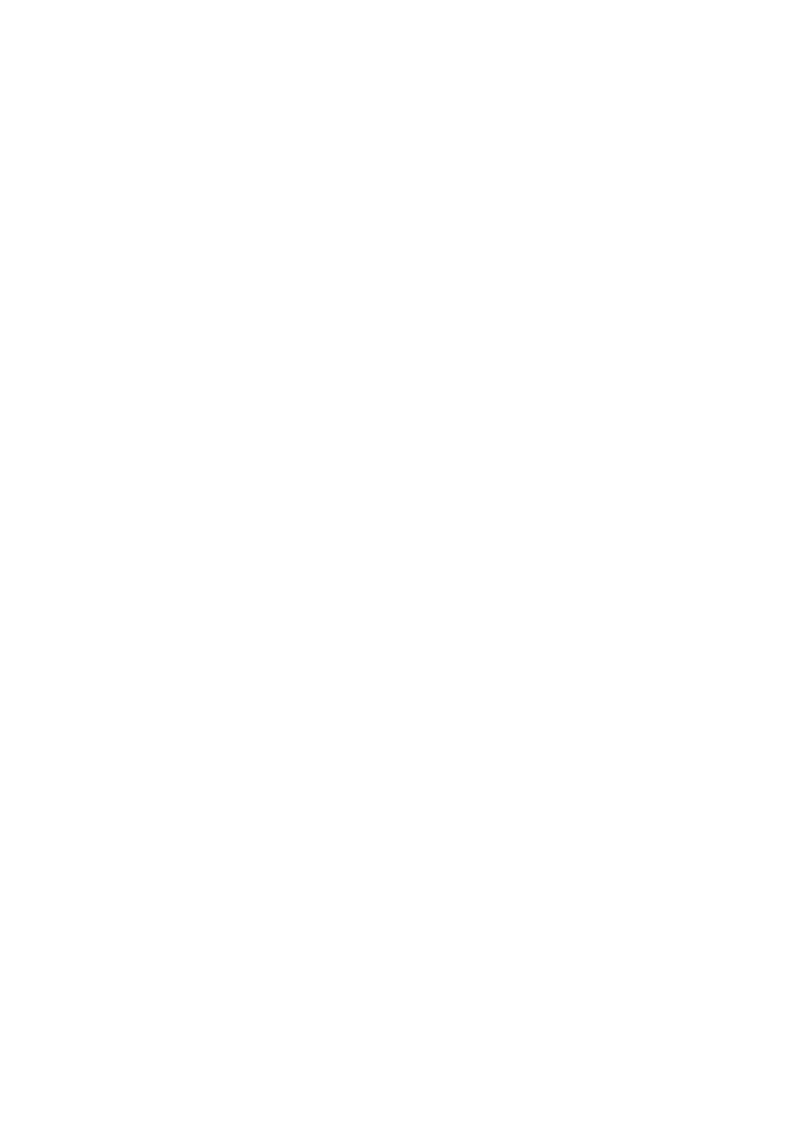| ---- |  |
|------|--|
|      |  |
|      |  |
|      |  |
|      |  |
|      |  |
|      |  |
|      |  |
|      |  |
|      |  |
|      |  |
|      |  |
|      |  |
|      |  |
|      |  |
|      |  |
|      |  |
|      |  |
|      |  |
|      |  |
|      |  |
|      |  |
|      |  |
|      |  |
|      |  |
|      |  |
|      |  |
|      |  |
|      |  |
|      |  |
|      |  |
|      |  |
|      |  |
|      |  |
|      |  |
|      |  |
|      |  |
|      |  |
|      |  |
|      |  |
|      |  |
|      |  |
|      |  |
|      |  |
|      |  |
|      |  |
|      |  |
|      |  |
|      |  |
|      |  |
|      |  |
|      |  |
|      |  |
|      |  |
|      |  |
|      |  |
|      |  |
|      |  |
|      |  |

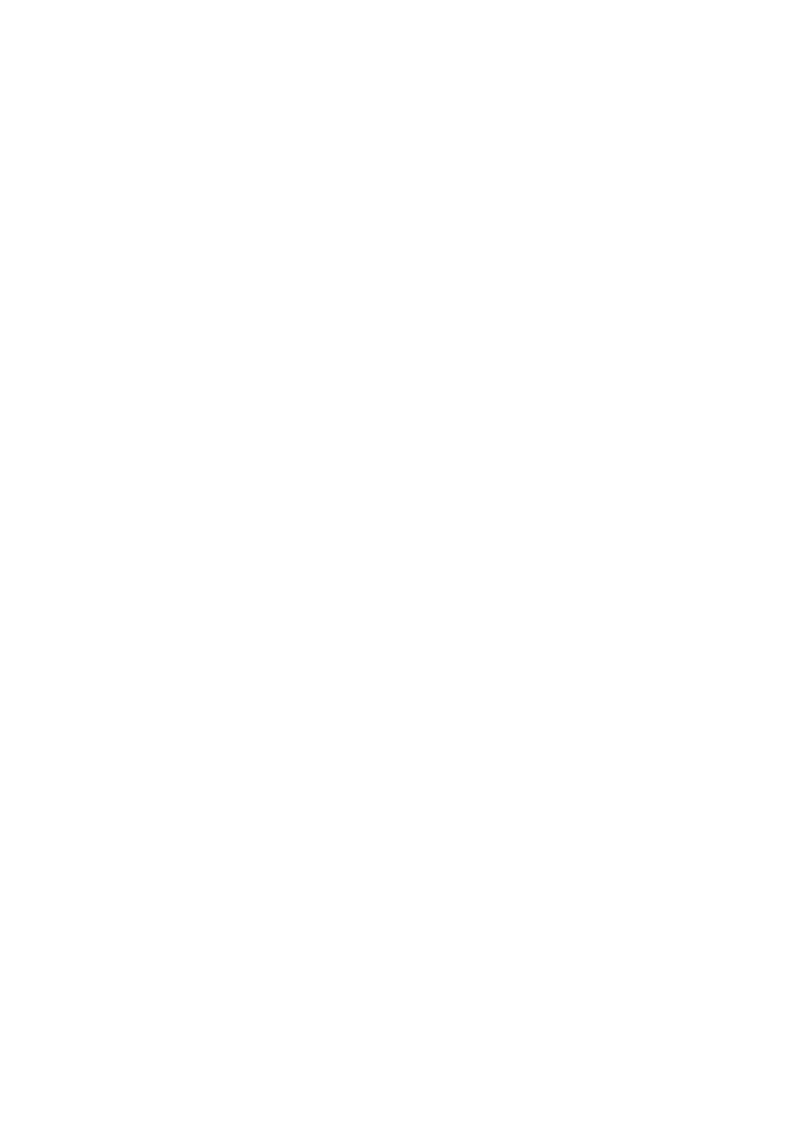| ---- |  |
|------|--|
|      |  |
|      |  |
|      |  |
|      |  |
|      |  |
|      |  |
|      |  |
|      |  |
|      |  |
|      |  |
|      |  |
|      |  |
|      |  |
|      |  |
|      |  |
|      |  |
|      |  |
|      |  |
|      |  |
|      |  |
|      |  |
|      |  |
|      |  |
|      |  |
|      |  |
|      |  |
|      |  |
|      |  |
|      |  |
|      |  |
|      |  |
|      |  |
|      |  |
|      |  |
|      |  |
|      |  |
|      |  |
|      |  |
|      |  |
|      |  |
|      |  |
|      |  |
|      |  |
|      |  |
|      |  |
|      |  |
|      |  |
|      |  |
|      |  |
|      |  |
|      |  |
|      |  |
|      |  |
|      |  |
|      |  |
|      |  |
|      |  |
|      |  |

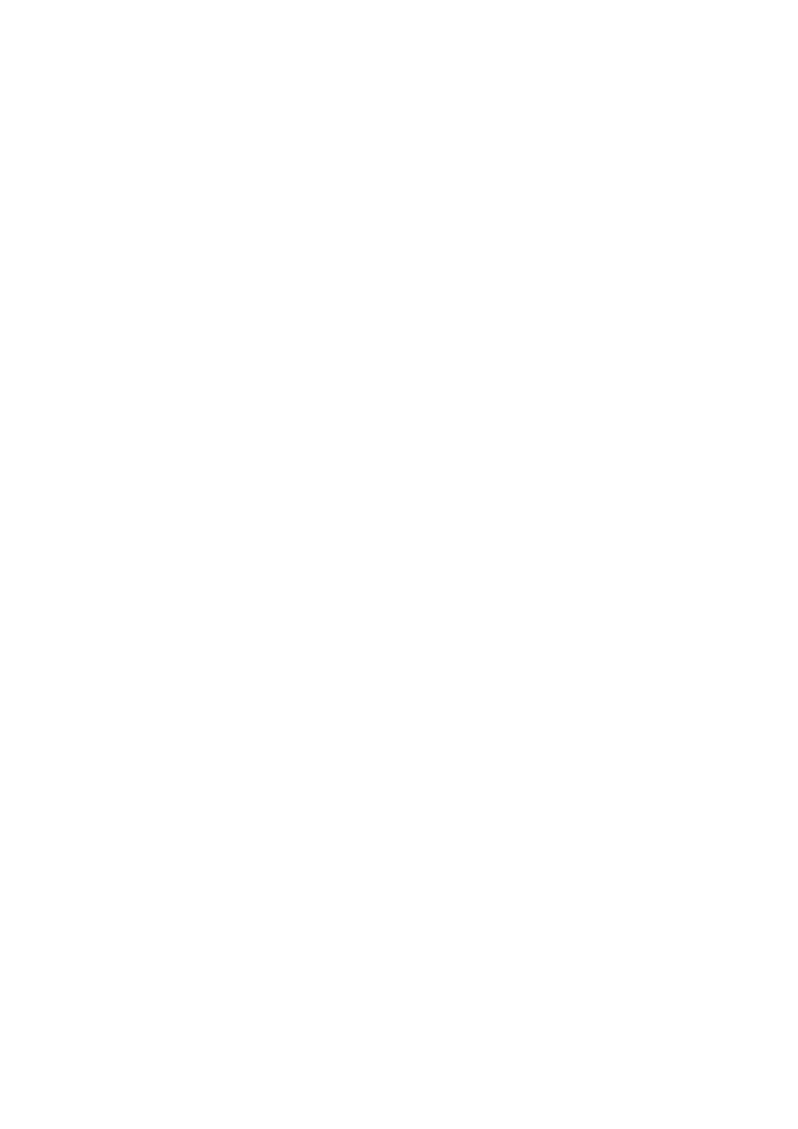| ---- |  |
|------|--|
|      |  |
|      |  |
|      |  |
|      |  |
|      |  |
|      |  |
|      |  |
|      |  |
|      |  |
|      |  |
|      |  |
|      |  |
|      |  |
|      |  |
|      |  |
|      |  |
|      |  |
|      |  |
|      |  |
|      |  |
|      |  |
|      |  |
|      |  |
|      |  |
|      |  |
|      |  |
|      |  |
|      |  |
|      |  |
|      |  |
|      |  |
|      |  |
|      |  |
|      |  |
|      |  |
|      |  |
|      |  |
|      |  |
|      |  |
|      |  |
|      |  |
|      |  |
|      |  |
|      |  |
|      |  |
|      |  |
|      |  |
|      |  |
|      |  |
|      |  |
|      |  |
|      |  |
|      |  |
|      |  |
|      |  |
|      |  |
|      |  |
|      |  |

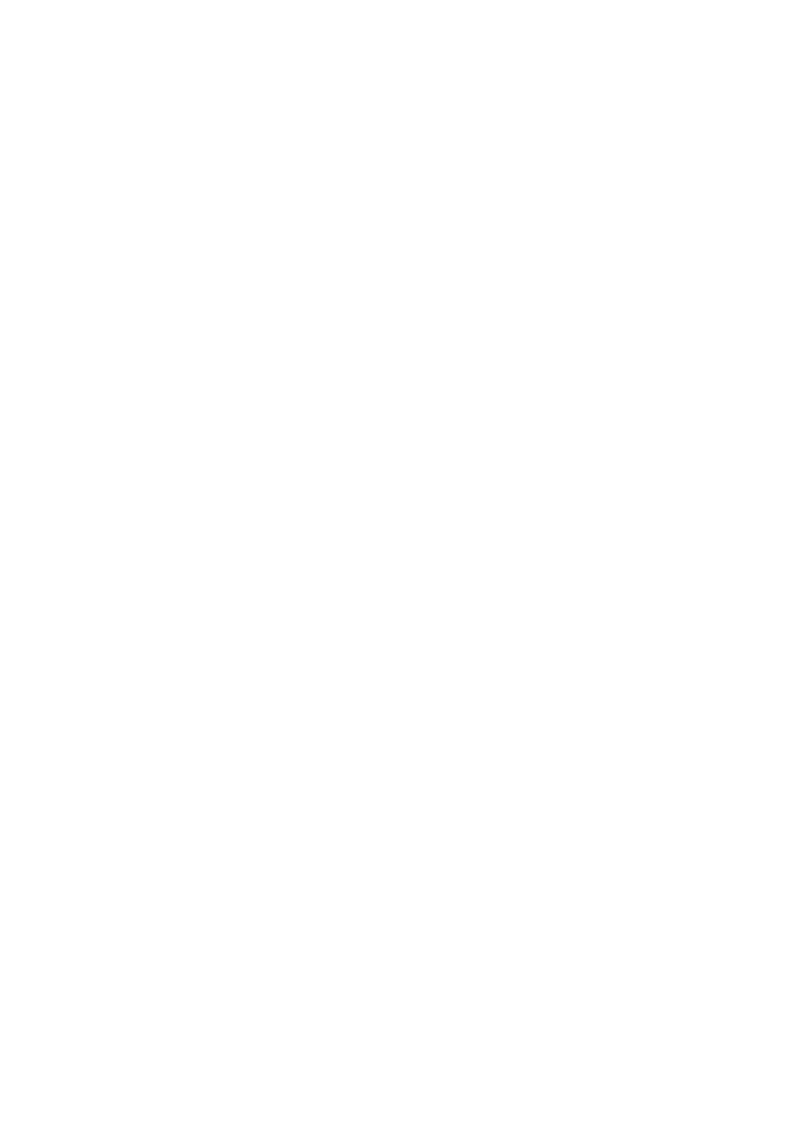| ---- |  |
|------|--|
|      |  |
|      |  |
|      |  |
|      |  |
|      |  |
|      |  |
|      |  |
|      |  |
|      |  |
|      |  |
|      |  |
|      |  |
|      |  |
|      |  |
|      |  |
|      |  |
|      |  |
|      |  |
|      |  |
|      |  |
|      |  |
|      |  |
|      |  |
|      |  |
|      |  |
|      |  |
|      |  |
|      |  |
|      |  |
|      |  |
|      |  |
|      |  |
|      |  |
|      |  |
|      |  |
|      |  |
|      |  |
|      |  |
|      |  |
|      |  |
|      |  |
|      |  |
|      |  |
|      |  |
|      |  |
|      |  |
|      |  |
|      |  |
|      |  |
|      |  |
|      |  |
|      |  |
|      |  |
|      |  |
|      |  |
|      |  |
|      |  |
|      |  |

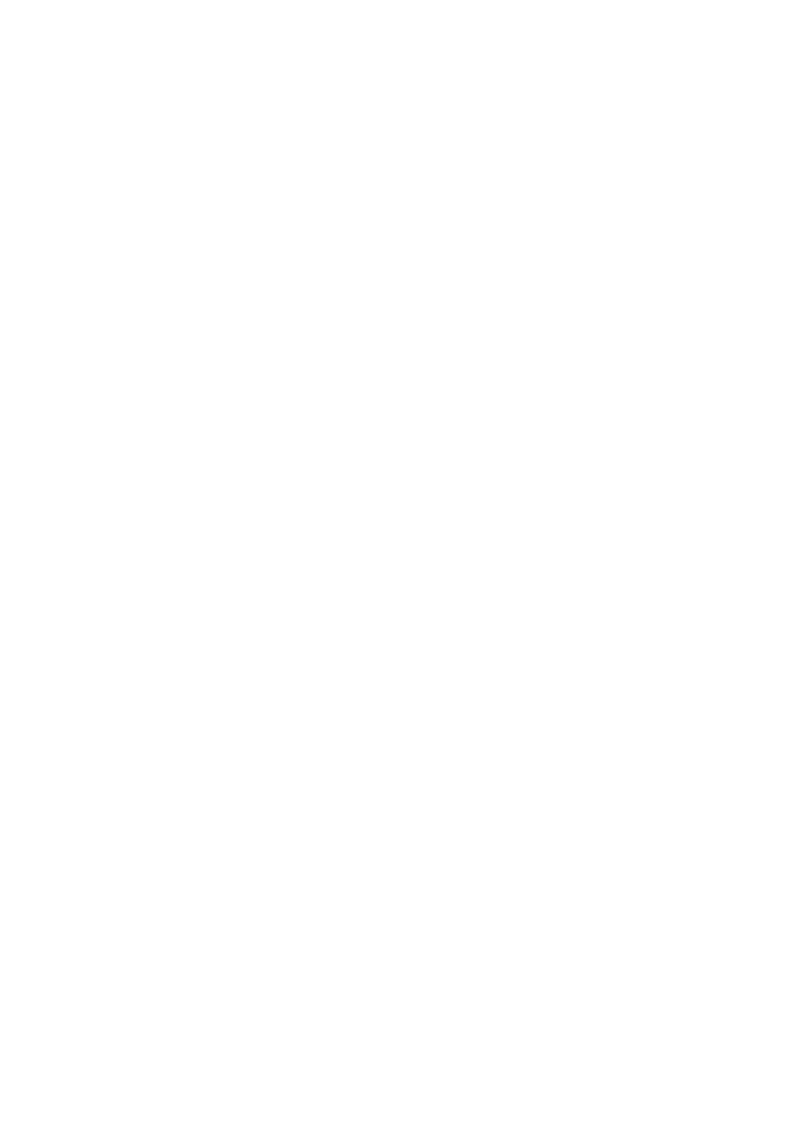| ---- |  |
|------|--|
|      |  |
|      |  |
|      |  |
|      |  |
|      |  |
|      |  |
|      |  |
|      |  |
|      |  |
|      |  |
|      |  |
|      |  |
|      |  |
|      |  |
|      |  |
|      |  |
|      |  |
|      |  |
|      |  |
|      |  |
|      |  |
|      |  |
|      |  |
|      |  |
|      |  |
|      |  |
|      |  |
|      |  |
|      |  |
|      |  |
|      |  |
|      |  |
|      |  |
|      |  |
|      |  |
|      |  |
|      |  |
|      |  |
|      |  |
|      |  |
|      |  |
|      |  |
|      |  |
|      |  |
|      |  |
|      |  |
|      |  |
|      |  |
|      |  |
|      |  |
|      |  |
|      |  |
|      |  |
|      |  |
|      |  |
|      |  |
|      |  |
|      |  |

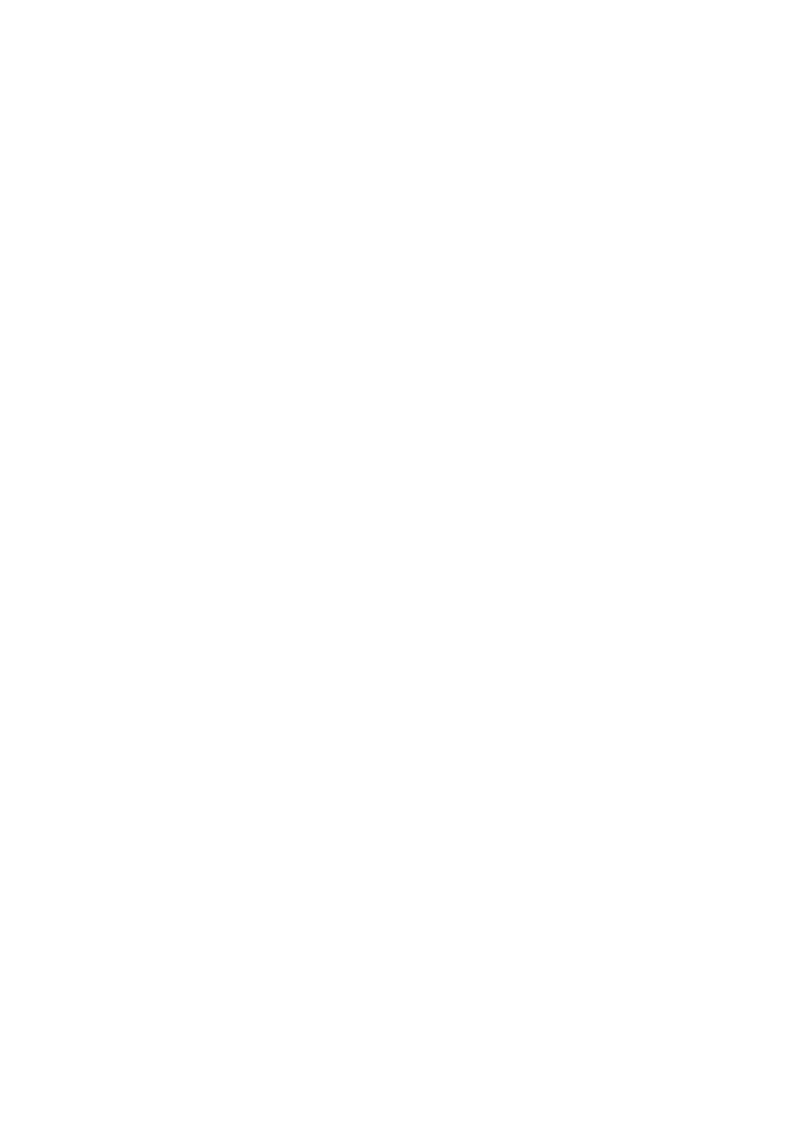| ---- |  |
|------|--|
|      |  |
|      |  |
|      |  |
|      |  |
|      |  |
|      |  |
|      |  |
|      |  |
|      |  |
|      |  |
|      |  |
|      |  |
|      |  |
|      |  |
|      |  |
|      |  |
|      |  |
|      |  |
|      |  |
|      |  |
|      |  |
|      |  |
|      |  |
|      |  |
|      |  |
|      |  |
|      |  |
|      |  |
|      |  |
|      |  |
|      |  |
|      |  |
|      |  |
|      |  |
|      |  |
|      |  |
|      |  |
|      |  |
|      |  |
|      |  |
|      |  |
|      |  |
|      |  |
|      |  |
|      |  |
|      |  |
|      |  |
|      |  |
|      |  |
|      |  |
|      |  |
|      |  |
|      |  |
|      |  |
|      |  |
|      |  |
|      |  |
|      |  |

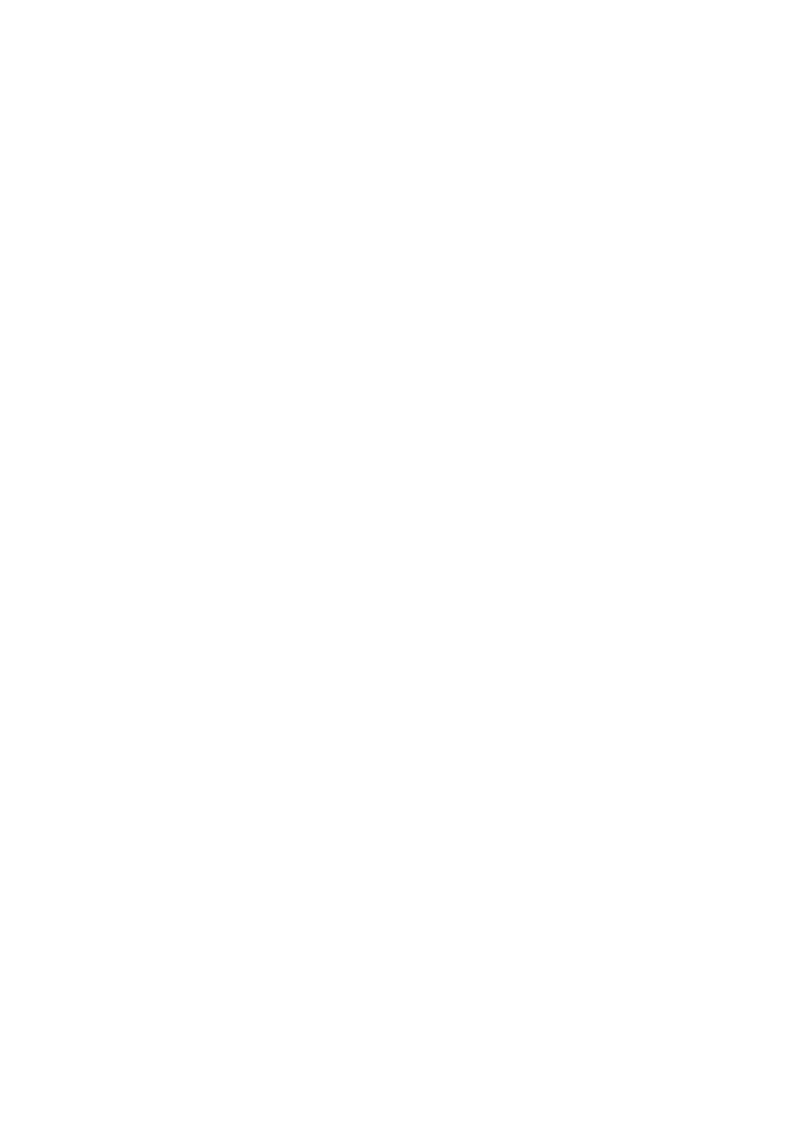| ---- |  |
|------|--|
|      |  |
|      |  |
|      |  |
|      |  |
|      |  |
|      |  |
|      |  |
|      |  |
|      |  |
|      |  |
|      |  |
|      |  |
|      |  |
|      |  |
|      |  |
|      |  |
|      |  |
|      |  |
|      |  |
|      |  |
|      |  |
|      |  |
|      |  |
|      |  |
|      |  |
|      |  |
|      |  |
|      |  |
|      |  |
|      |  |
|      |  |
|      |  |
|      |  |
|      |  |
|      |  |
|      |  |
|      |  |
|      |  |
|      |  |
|      |  |
|      |  |
|      |  |
|      |  |
|      |  |
|      |  |
|      |  |
|      |  |
|      |  |
|      |  |
|      |  |
|      |  |
|      |  |
|      |  |
|      |  |
|      |  |
|      |  |
|      |  |
|      |  |

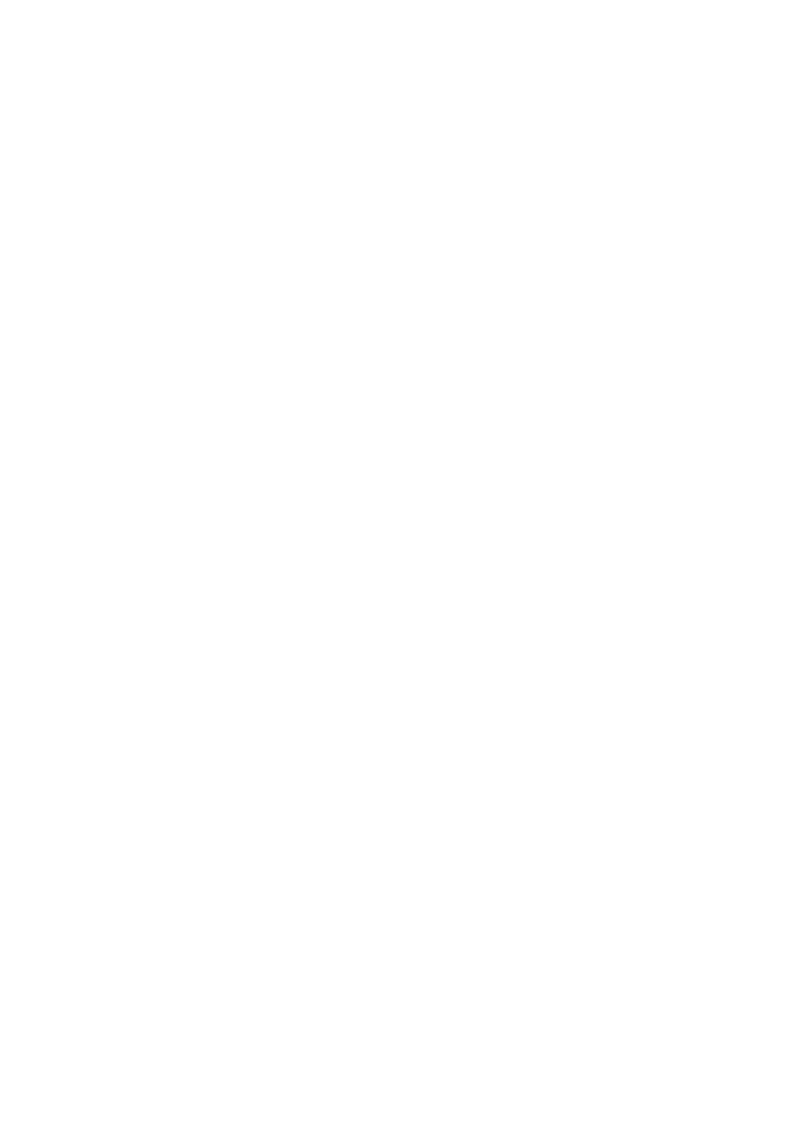| ---- |  |
|------|--|
|      |  |
|      |  |
|      |  |
|      |  |
|      |  |
|      |  |
|      |  |
|      |  |
|      |  |
|      |  |
|      |  |
|      |  |
|      |  |
|      |  |
|      |  |
|      |  |
|      |  |
|      |  |
|      |  |
|      |  |
|      |  |
|      |  |
|      |  |
|      |  |
|      |  |
|      |  |
|      |  |
|      |  |
|      |  |
|      |  |
|      |  |
|      |  |
|      |  |
|      |  |
|      |  |
|      |  |
|      |  |
|      |  |
|      |  |
|      |  |
|      |  |
|      |  |
|      |  |
|      |  |
|      |  |
|      |  |
|      |  |
|      |  |
|      |  |
|      |  |
|      |  |
|      |  |
|      |  |
|      |  |
|      |  |
|      |  |
|      |  |
|      |  |

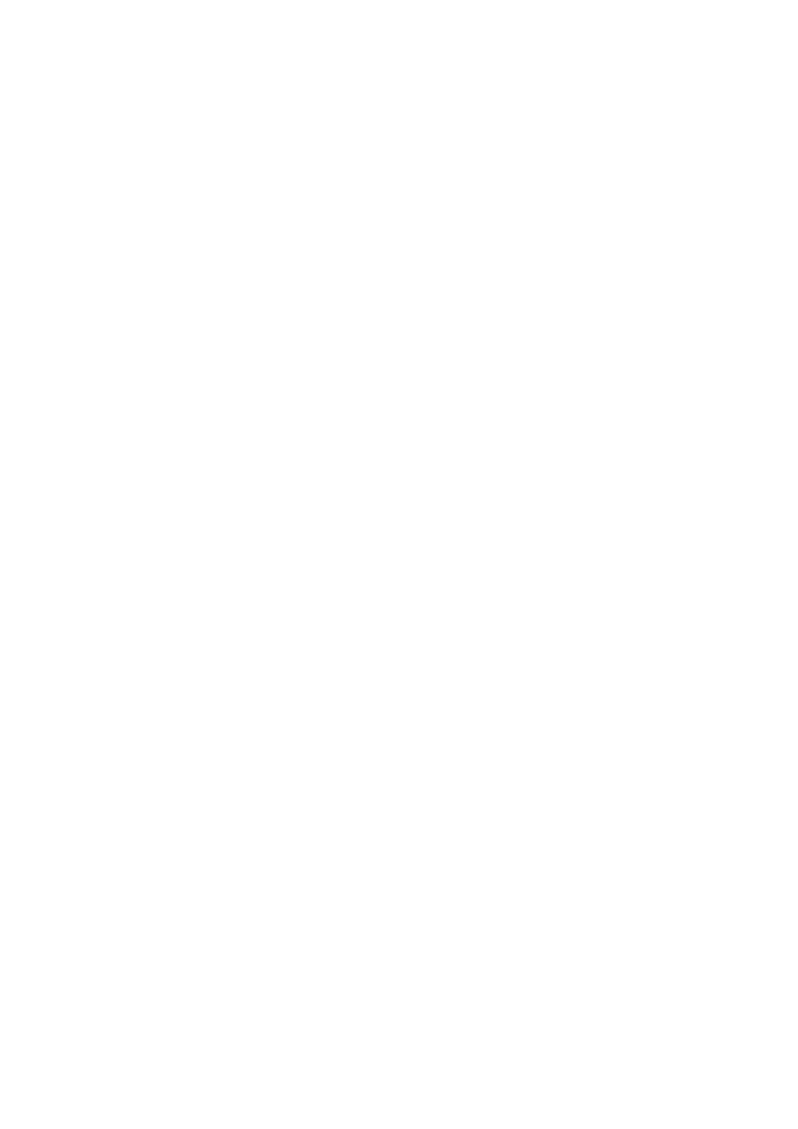| ---- |  |
|------|--|
|      |  |
|      |  |
|      |  |
|      |  |
|      |  |
|      |  |
|      |  |
|      |  |
|      |  |
|      |  |
|      |  |
|      |  |
|      |  |
|      |  |
|      |  |
|      |  |
|      |  |
|      |  |
|      |  |
|      |  |
|      |  |
|      |  |
|      |  |
|      |  |
|      |  |
|      |  |
|      |  |
|      |  |
|      |  |
|      |  |
|      |  |
|      |  |
|      |  |
|      |  |
|      |  |
|      |  |
|      |  |
|      |  |
|      |  |
|      |  |
|      |  |
|      |  |
|      |  |
|      |  |
|      |  |
|      |  |
|      |  |
|      |  |
|      |  |
|      |  |
|      |  |
|      |  |
|      |  |
|      |  |
|      |  |
|      |  |
|      |  |
|      |  |

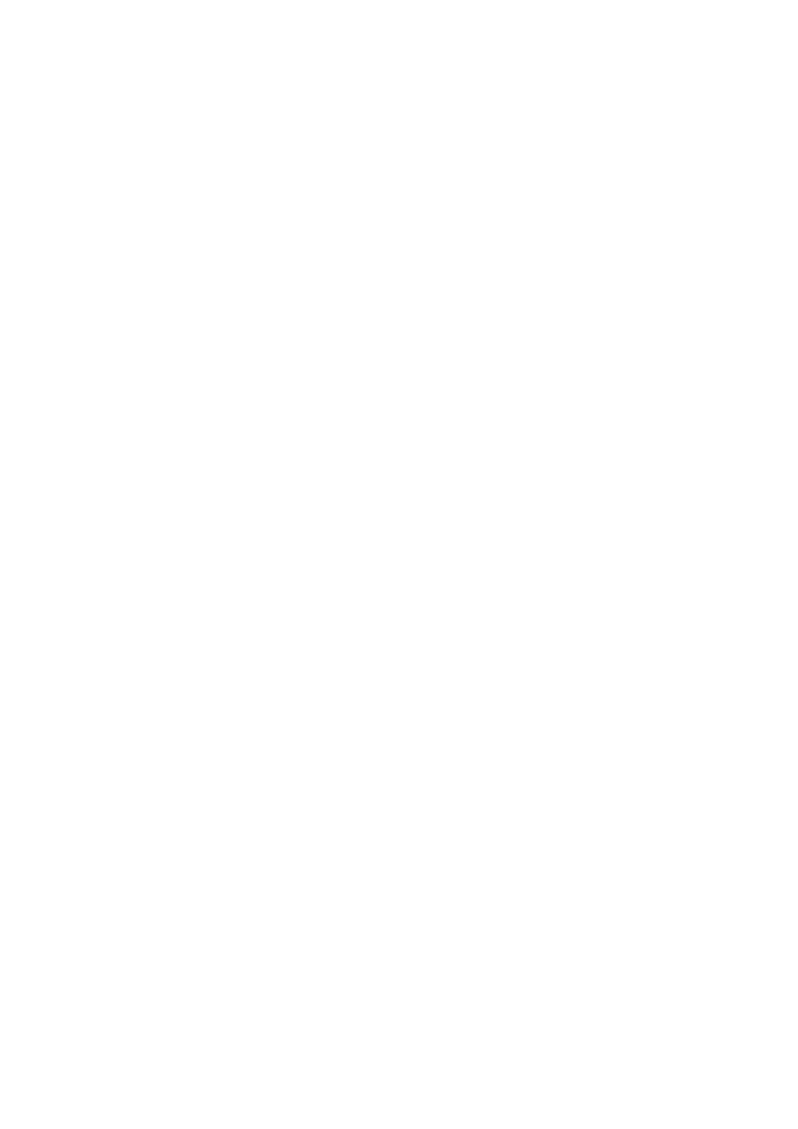| ---- |  |
|------|--|
|      |  |
|      |  |
|      |  |
|      |  |
|      |  |
|      |  |
|      |  |
|      |  |
|      |  |
|      |  |
|      |  |
|      |  |
|      |  |
|      |  |
|      |  |
|      |  |
|      |  |
|      |  |
|      |  |
|      |  |
|      |  |
|      |  |
|      |  |
|      |  |
|      |  |
|      |  |
|      |  |
|      |  |
|      |  |
|      |  |
|      |  |
|      |  |
|      |  |
|      |  |
|      |  |
|      |  |
|      |  |
|      |  |
|      |  |
|      |  |
|      |  |
|      |  |
|      |  |
|      |  |
|      |  |
|      |  |
|      |  |
|      |  |
|      |  |
|      |  |
|      |  |
|      |  |
|      |  |
|      |  |
|      |  |
|      |  |
|      |  |
|      |  |

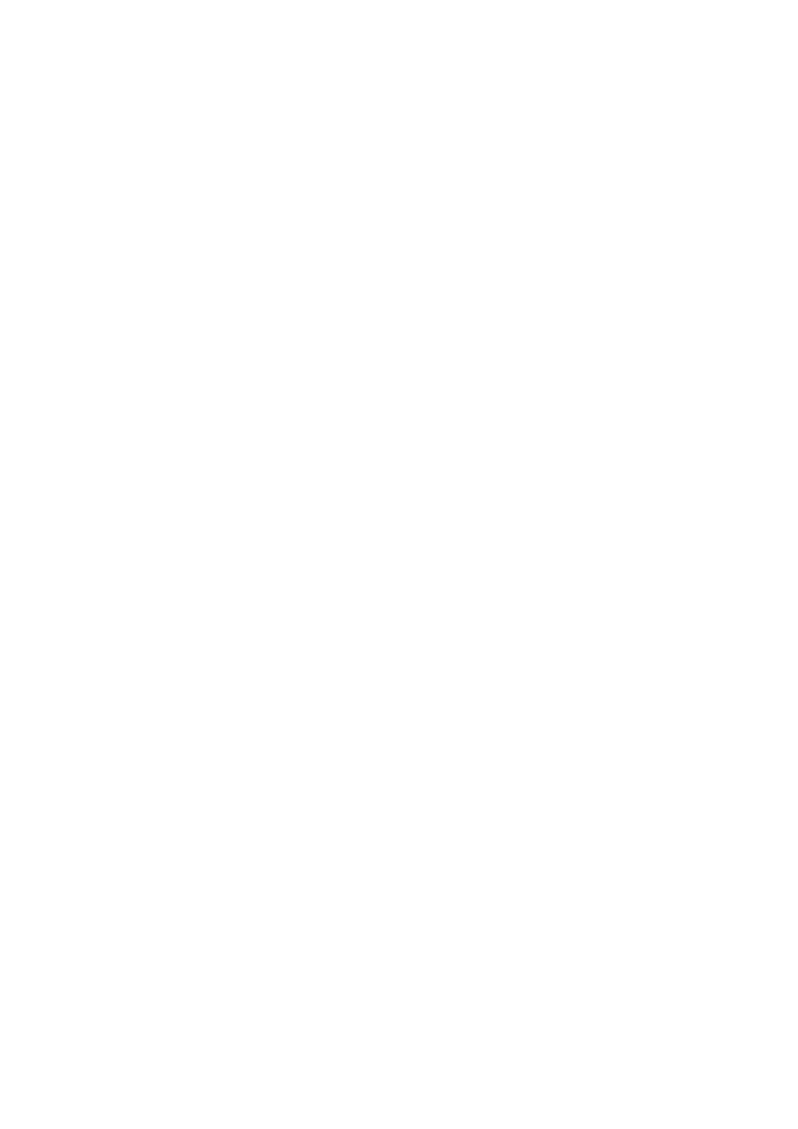| ---- |  |
|------|--|
|      |  |
|      |  |
|      |  |
|      |  |
|      |  |
|      |  |
|      |  |
|      |  |
|      |  |
|      |  |
|      |  |
|      |  |
|      |  |
|      |  |
|      |  |
|      |  |
|      |  |
|      |  |
|      |  |
|      |  |
|      |  |
|      |  |
|      |  |
|      |  |
|      |  |
|      |  |
|      |  |
|      |  |
|      |  |
|      |  |
|      |  |
|      |  |
|      |  |
|      |  |
|      |  |
|      |  |
|      |  |
|      |  |
|      |  |
|      |  |
|      |  |
|      |  |
|      |  |
|      |  |
|      |  |
|      |  |
|      |  |
|      |  |
|      |  |
|      |  |
|      |  |
|      |  |
|      |  |
|      |  |
|      |  |
|      |  |
|      |  |
|      |  |

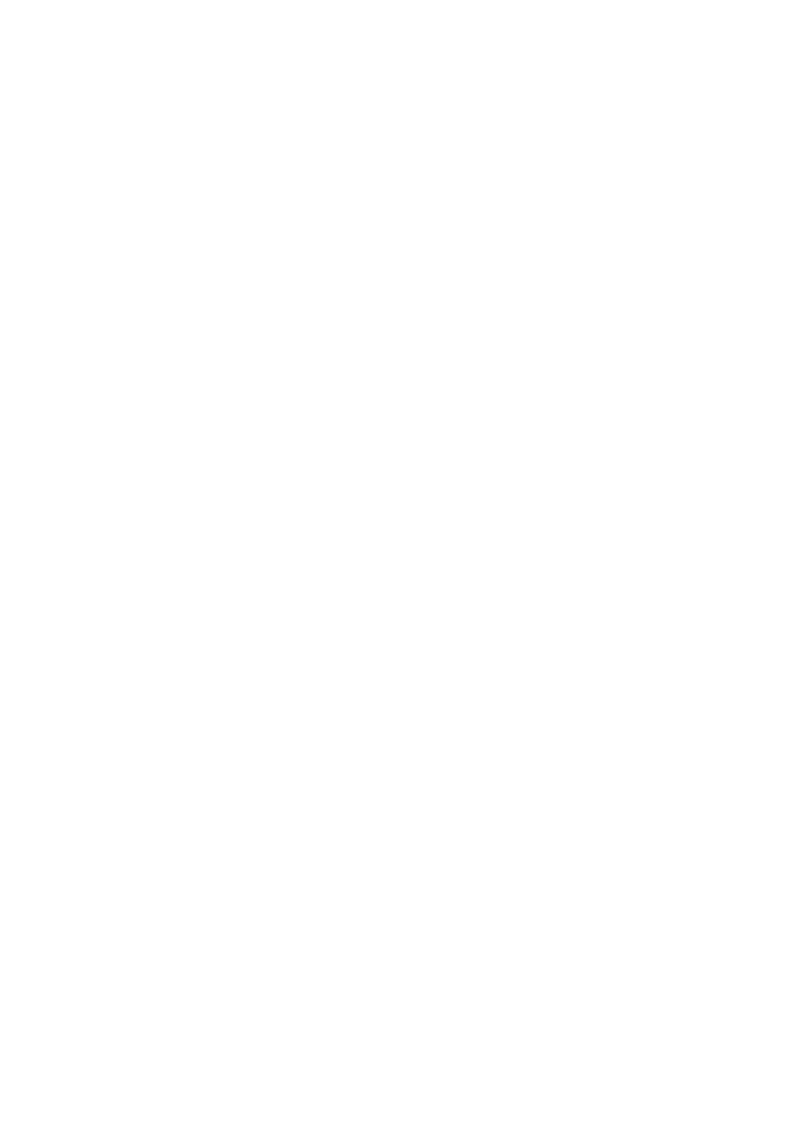| ---- |  |
|------|--|
|      |  |
|      |  |
|      |  |
|      |  |
|      |  |
|      |  |
|      |  |
|      |  |
|      |  |
|      |  |
|      |  |
|      |  |
|      |  |
|      |  |
|      |  |
|      |  |
|      |  |
|      |  |
|      |  |
|      |  |
|      |  |
|      |  |
|      |  |
|      |  |
|      |  |
|      |  |
|      |  |
|      |  |
|      |  |
|      |  |
|      |  |
|      |  |
|      |  |
|      |  |
|      |  |
|      |  |
|      |  |
|      |  |
|      |  |
|      |  |
|      |  |
|      |  |
|      |  |
|      |  |
|      |  |
|      |  |
|      |  |
|      |  |
|      |  |
|      |  |
|      |  |
|      |  |
|      |  |
|      |  |
|      |  |
|      |  |
|      |  |
|      |  |

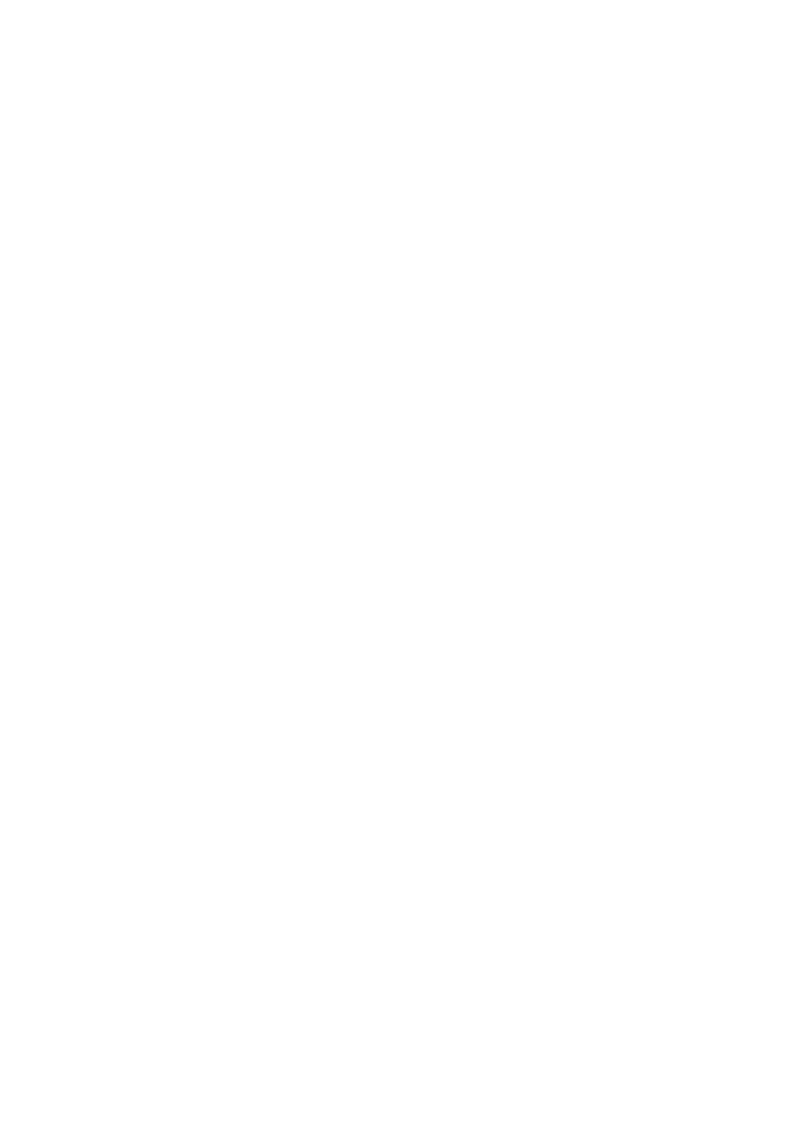| ---- |  |
|------|--|
|      |  |
|      |  |
|      |  |
|      |  |
|      |  |
|      |  |
|      |  |
|      |  |
|      |  |
|      |  |
|      |  |
|      |  |
|      |  |
|      |  |
|      |  |
|      |  |
|      |  |
|      |  |
|      |  |
|      |  |
|      |  |
|      |  |
|      |  |
|      |  |
|      |  |
|      |  |
|      |  |
|      |  |
|      |  |
|      |  |
|      |  |
|      |  |
|      |  |
|      |  |
|      |  |
|      |  |
|      |  |
|      |  |
|      |  |
|      |  |
|      |  |
|      |  |
|      |  |
|      |  |
|      |  |
|      |  |
|      |  |
|      |  |
|      |  |
|      |  |
|      |  |
|      |  |
|      |  |
|      |  |
|      |  |
|      |  |
|      |  |
|      |  |

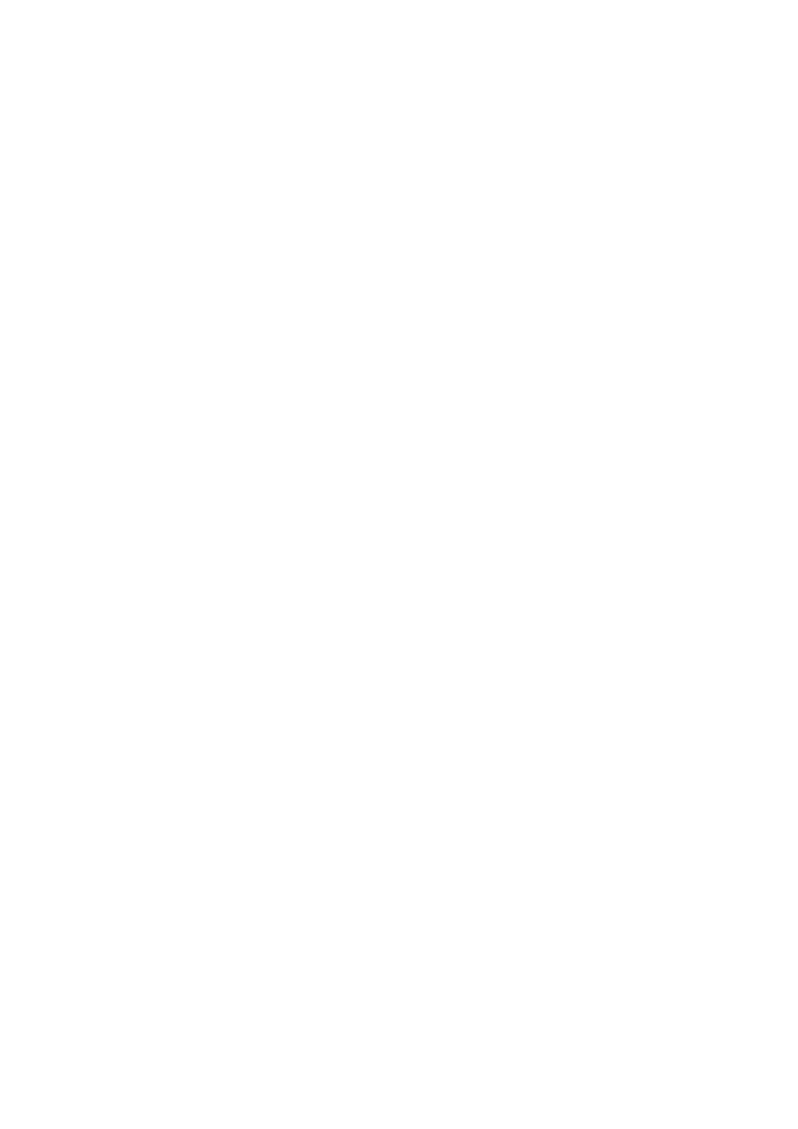| ---- |  |
|------|--|
|      |  |
|      |  |
|      |  |
|      |  |
|      |  |
|      |  |
|      |  |
|      |  |
|      |  |
|      |  |
|      |  |
|      |  |
|      |  |
|      |  |
|      |  |
|      |  |
|      |  |
|      |  |
|      |  |
|      |  |
|      |  |
|      |  |
|      |  |
|      |  |
|      |  |
|      |  |
|      |  |
|      |  |
|      |  |
|      |  |
|      |  |
|      |  |
|      |  |
|      |  |
|      |  |
|      |  |
|      |  |
|      |  |
|      |  |
|      |  |
|      |  |
|      |  |
|      |  |
|      |  |
|      |  |
|      |  |
|      |  |
|      |  |
|      |  |
|      |  |
|      |  |
|      |  |
|      |  |
|      |  |
|      |  |
|      |  |
|      |  |
|      |  |

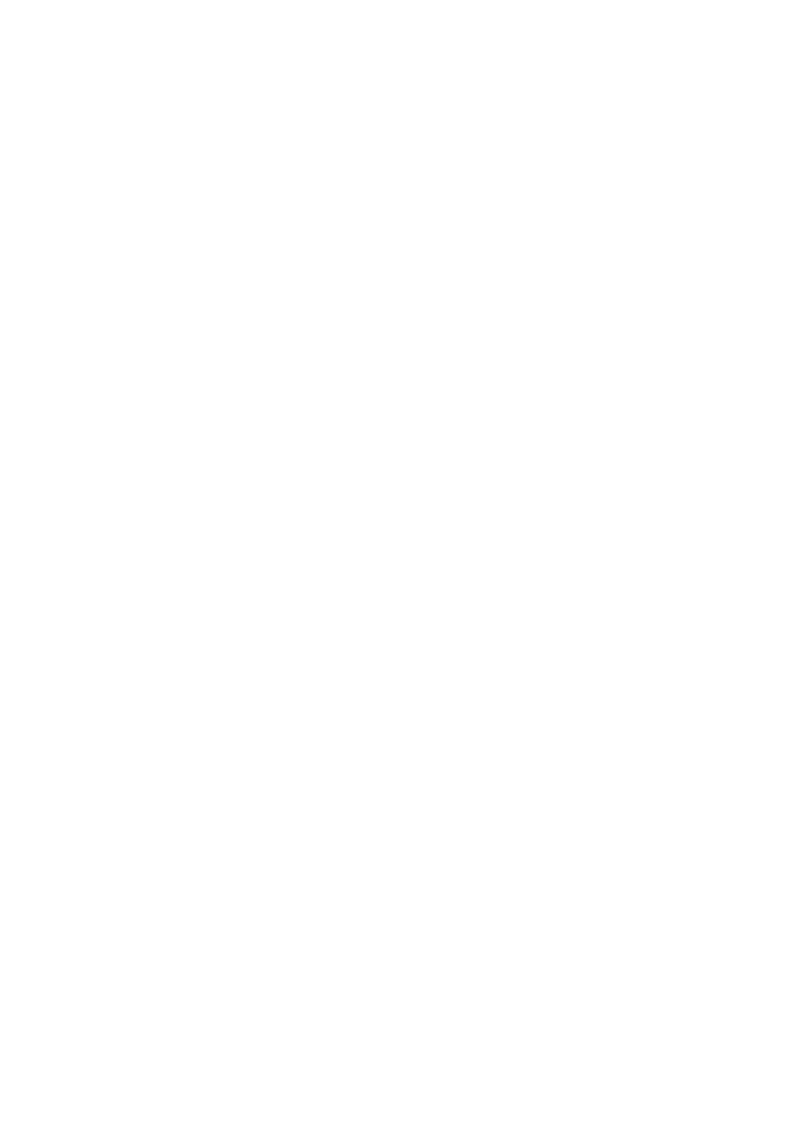| ---- |  |
|------|--|
|      |  |
|      |  |
|      |  |
|      |  |
|      |  |
|      |  |
|      |  |
|      |  |
|      |  |
|      |  |
|      |  |
|      |  |
|      |  |
|      |  |
|      |  |
|      |  |
|      |  |
|      |  |
|      |  |
|      |  |
|      |  |
|      |  |
|      |  |
|      |  |
|      |  |
|      |  |
|      |  |
|      |  |
|      |  |
|      |  |
|      |  |
|      |  |
|      |  |
|      |  |
|      |  |
|      |  |
|      |  |
|      |  |
|      |  |
|      |  |
|      |  |
|      |  |
|      |  |
|      |  |
|      |  |
|      |  |
|      |  |
|      |  |
|      |  |
|      |  |
|      |  |
|      |  |
|      |  |
|      |  |
|      |  |
|      |  |
|      |  |
|      |  |

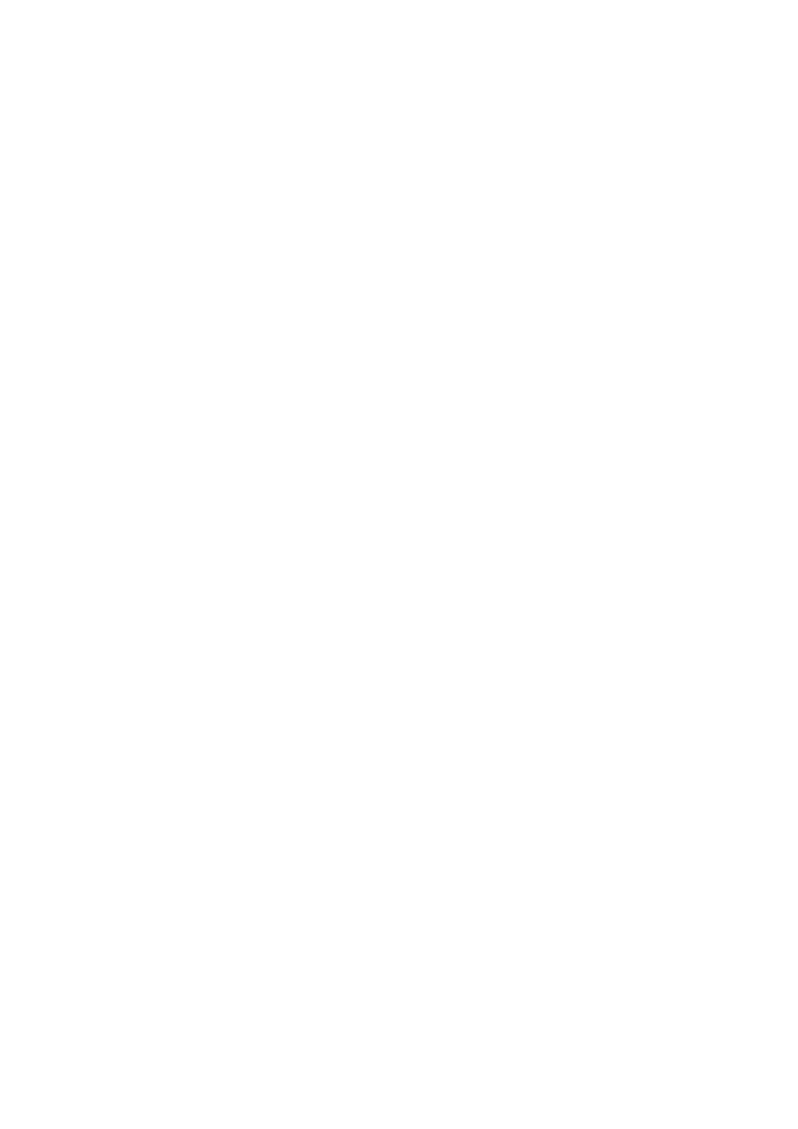| ---- |  |
|------|--|
|      |  |
|      |  |
|      |  |
|      |  |
|      |  |
|      |  |
|      |  |
|      |  |
|      |  |
|      |  |
|      |  |
|      |  |
|      |  |
|      |  |
|      |  |
|      |  |
|      |  |
|      |  |
|      |  |
|      |  |
|      |  |
|      |  |
|      |  |
|      |  |
|      |  |
|      |  |
|      |  |
|      |  |
|      |  |
|      |  |
|      |  |
|      |  |
|      |  |
|      |  |
|      |  |
|      |  |
|      |  |
|      |  |
|      |  |
|      |  |
|      |  |
|      |  |
|      |  |
|      |  |
|      |  |
|      |  |
|      |  |
|      |  |
|      |  |
|      |  |
|      |  |
|      |  |
|      |  |
|      |  |
|      |  |
|      |  |
|      |  |
|      |  |